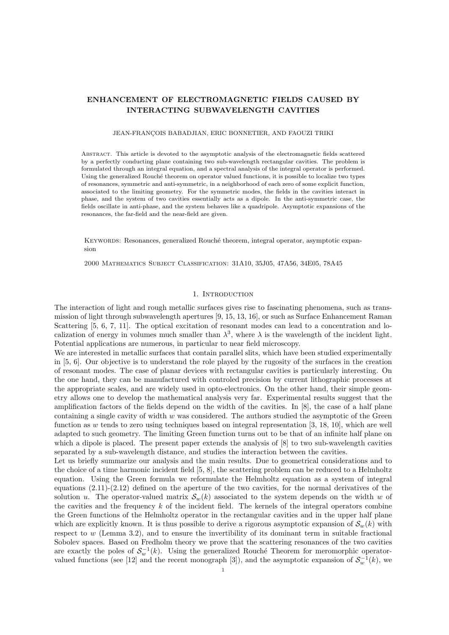## ENHANCEMENT OF ELECTROMAGNETIC FIELDS CAUSED BY INTERACTING SUBWAVELENGTH CAVITIES

#### JEAN-FRANÇOIS BABADJIAN, ERIC BONNETIER, AND FAOUZI TRIKI

Abstract. This article is devoted to the asymptotic analysis of the electromagnetic fields scattered by a perfectly conducting plane containing two sub-wavelength rectangular cavities. The problem is formulated through an integral equation, and a spectral analysis of the integral operator is performed. Using the generalized Rouché theorem on operator valued functions, it is possible to localize two types of resonances, symmetric and anti-symmetric, in a neighborhood of each zero of some explicit function, associated to the limiting geometry. For the symmetric modes, the fields in the cavities interact in phase, and the system of two cavities essentially acts as a dipole. In the anti-symmetric case, the fields oscillate in anti-phase, and the system behaves like a quadripole. Asymptotic expansions of the resonances, the far-field and the near-field are given.

KEYWORDS: Resonances, generalized Rouché theorem, integral operator, asymptotic expansion

2000 Mathematics Subject Classification: 31A10, 35J05, 47A56, 34E05, 78A45

### 1. INTRODUCTION

The interaction of light and rough metallic surfaces gives rise to fascinating phenomena, such as transmission of light through subwavelength apertures [9, 15, 13, 16], or such as Surface Enhancement Raman Scattering [5, 6, 7, 11]. The optical excitation of resonant modes can lead to a concentration and localization of energy in volumes much smaller than  $\lambda^3$ , where  $\lambda$  is the wavelength of the incident light. Potential applications are numerous, in particular to near field microscopy.

We are interested in metallic surfaces that contain parallel slits, which have been studied experimentally in [5, 6]. Our objective is to understand the role played by the rugosity of the surfaces in the creation of resonant modes. The case of planar devices with rectangular cavities is particularly interesting. On the one hand, they can be manufactured with controled precision by current lithographic processes at the appropriate scales, and are widely used in opto-electronics. On the other hand, their simple geometry allows one to develop the mathematical analysis very far. Experimental results suggest that the amplification factors of the fields depend on the width of the cavities. In [8], the case of a half plane containing a single cavity of width  $w$  was considered. The authors studied the asymptotic of the Green function as w tends to zero using techniques based on integral representation  $[3, 18, 10]$ , which are well adapted to such geometry. The limiting Green function turns out to be that of an infinite half plane on which a dipole is placed. The present paper extends the analysis of  $[8]$  to two sub-wavelength cavities separated by a sub-wavelength distance, and studies the interaction between the cavities.

Let us briefly summarize our analysis and the main results. Due to geometrical considerations and to the choice of a time harmonic incident field [5, 8], the scattering problem can be reduced to a Helmholtz equation. Using the Green formula we reformulate the Helmholtz equation as a system of integral equations (2.11)-(2.12) defined on the aperture of the two cavities, for the normal derivatives of the solution u. The operator-valued matrix  $S_w(k)$  associated to the system depends on the width w of the cavities and the frequency  $k$  of the incident field. The kernels of the integral operators combine the Green functions of the Helmholtz operator in the rectangular cavities and in the upper half plane which are explicitly known. It is thus possible to derive a rigorous asymptotic expansion of  $\mathcal{S}_{w}(k)$  with respect to  $w$  (Lemma 3.2), and to ensure the invertibility of its dominant term in suitable fractional Sobolev spaces. Based on Fredholm theory we prove that the scattering resonances of the two cavities are exactly the poles of  $\mathcal{S}_{w}^{-1}(k)$ . Using the generalized Rouché Theorem for meromorphic operatorvalued functions (see [12] and the recent monograph [3]), and the asymptotic expansion of  $S_w^{-1}(k)$ , we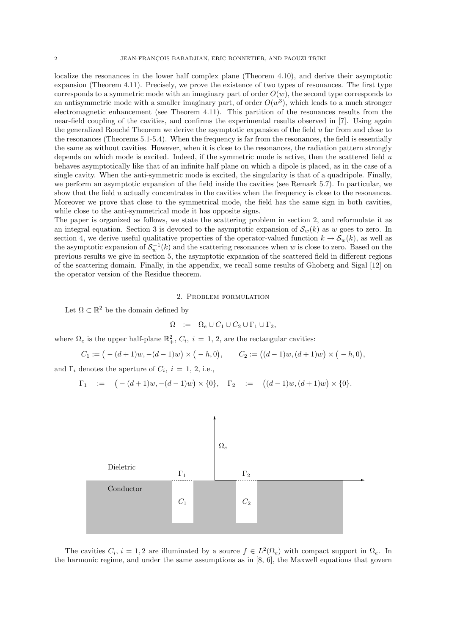localize the resonances in the lower half complex plane (Theorem 4.10), and derive their asymptotic expansion (Theorem 4.11). Precisely, we prove the existence of two types of resonances. The first type corresponds to a symmetric mode with an imaginary part of order  $O(w)$ , the second type corresponds to an antisymmetric mode with a smaller imaginary part, of order  $O(w^3)$ , which leads to a much stronger electromagnetic enhancement (see Theorem 4.11). This partition of the resonances results from the near-field coupling of the cavities, and confirms the experimental results observed in [7]. Using again the generalized Rouché Theorem we derive the asymptotic expansion of the field u far from and close to the resonances (Theorems 5.1-5.4). When the frequency is far from the resonances, the field is essentially the same as without cavities. However, when it is close to the resonances, the radiation pattern strongly depends on which mode is excited. Indeed, if the symmetric mode is active, then the scattered field  $u$ behaves asymptotically like that of an infinite half plane on which a dipole is placed, as in the case of a single cavity. When the anti-symmetric mode is excited, the singularity is that of a quadripole. Finally, we perform an asymptotic expansion of the field inside the cavities (see Remark 5.7). In particular, we show that the field  $u$  actually concentrates in the cavities when the frequency is close to the resonances. Moreover we prove that close to the symmetrical mode, the field has the same sign in both cavities, while close to the anti-symmetrical mode it has opposite signs.

The paper is organized as follows, we state the scattering problem in section 2, and reformulate it as an integral equation. Section 3 is devoted to the asymptotic expansion of  $\mathcal{S}_w(k)$  as w goes to zero. In section 4, we derive useful qualitative properties of the operator-valued function  $k \to \mathcal{S}_w(k)$ , as well as the asymptotic expansion of  $S_w^{-1}(k)$  and the scattering resonances when w is close to zero. Based on the previous results we give in section 5, the asymptotic expansion of the scattered field in different regions of the scattering domain. Finally, in the appendix, we recall some results of Ghoberg and Sigal [12] on the operator version of the Residue theorem.

### 2. Problem formulation

Let  $\Omega \subset \mathbb{R}^2$  be the domain defined by

$$
\Omega \quad := \quad \Omega_e \cup C_1 \cup C_2 \cup \Gamma_1 \cup \Gamma_2,
$$

where  $\Omega_e$  is the upper half-plane  $\mathbb{R}^2_+$ ,  $C_i$ ,  $i = 1, 2$ , are the rectangular cavities:

$$
C_1 := (-(d+1)w, -(d-1)w) \times (-h, 0), \qquad C_2 := ((d-1)w, (d+1)w) \times (-h, 0),
$$

and  $\Gamma_i$  denotes the aperture of  $C_i$ ,  $i = 1, 2$ , i.e.,

$$
\Gamma_1 \quad := \quad \left( -(d+1)w, -(d-1)w \right) \times \{0\}, \quad \Gamma_2 \quad := \quad \left( (d-1)w, (d+1)w \right) \times \{0\}.
$$



The cavities  $C_i$ ,  $i = 1, 2$  are illuminated by a source  $f \in L^2(\Omega_e)$  with compact support in  $\Omega_e$ . In the harmonic regime, and under the same assumptions as in [8, 6], the Maxwell equations that govern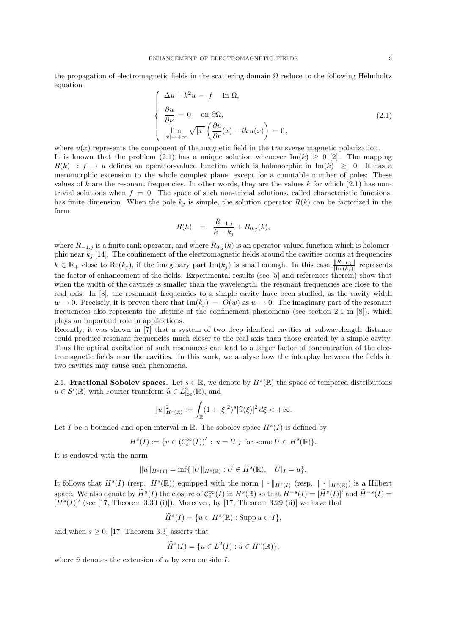the propagation of electromagnetic fields in the scattering domain  $\Omega$  reduce to the following Helmholtz equation

$$
\begin{cases}\n\Delta u + k^2 u = f \quad \text{in } \Omega, \\
\frac{\partial u}{\partial \nu} = 0 \quad \text{on } \partial \Omega, \\
\lim_{|x| \to +\infty} \sqrt{|x|} \left( \frac{\partial u}{\partial r}(x) - ik u(x) \right) = 0,\n\end{cases}
$$
\n(2.1)

where  $u(x)$  represents the component of the magnetic field in the transverse magnetic polarization. It is known that the problem (2.1) has a unique solution whenever Im(k)  $\geq 0$  [2]. The mapping  $R(k)$ :  $f \rightarrow u$  defines an operator-valued function which is holomorphic in  $\text{Im}(k) \geq 0$ . It has a meromorphic extension to the whole complex plane, except for a countable number of poles: These values of k are the resonant frequencies. In other words, they are the values k for which  $(2.1)$  has nontrivial solutions when  $f = 0$ . The space of such non-trivial solutions, called characteristic functions, has finite dimension. When the pole  $k_j$  is simple, the solution operator  $R(k)$  can be factorized in the form

$$
R(k) = \frac{R_{-1,j}}{k - k_j} + R_{0,j}(k),
$$

where  $R_{-1,j}$  is a finite rank operator, and where  $R_{0,j}(k)$  is an operator-valued function which is holomorphic near  $k_j$  [14]. The confinement of the electromagnetic fields around the cavities occurs at frequencies  $k \in \mathbb{R}_+$  close to  $\text{Re}(k_j)$ , if the imaginary part  $\text{Im}(k_j)$  is small enough. In this case  $\frac{\|R_{-1,j}\|}{|\text{Im}(k_j)|}$  represents the factor of enhancement of the fields. Experimental results (see [5] and references therein) show that when the width of the cavities is smaller than the wavelength, the resonant frequencies are close to the real axis. In [8], the resonnant frequencies to a simple cavity have been studied, as the cavity width  $w \to 0$ . Precisely, it is proven there that  $\text{Im}(k_j) = O(w)$  as  $w \to 0$ . The imaginary part of the resonant frequencies also represents the lifetime of the confinement phenomena (see section 2.1 in [8]), which plays an important role in applications.

Recently, it was shown in [7] that a system of two deep identical cavities at subwavelength distance could produce resonant frequencies much closer to the real axis than those created by a simple cavity. Thus the optical excitation of such resonances can lead to a larger factor of concentration of the electromagnetic fields near the cavities. In this work, we analyse how the interplay between the fields in two cavities may cause such phenomena.

2.1. **Fractional Sobolev spaces.** Let  $s \in \mathbb{R}$ , we denote by  $H^s(\mathbb{R})$  the space of tempered distributions  $u \in \mathcal{S}'(\mathbb{R})$  with Fourier transform  $\widehat{u} \in L^2_{loc}(\mathbb{R})$ , and

$$
||u||_{H^s(\mathbb{R})}^2 := \int_{\mathbb{R}} (1+|\xi|^2)^s |\widehat{u}(\xi)|^2 d\xi < +\infty.
$$

Let I be a bounded and open interval in  $\mathbb{R}$ . The sobolev space  $H^s(I)$  is defined by

$$
H^s(I) := \{ u \in (\mathcal{C}_c^{\infty}(I))' : u = U|_I \text{ for some } U \in H^s(\mathbb{R}) \}.
$$

It is endowed with the norm

$$
||u||_{H^s(I)} = \inf \{ ||U||_{H^s(\mathbb{R})} : U \in H^s(\mathbb{R}), \quad U|_I = u \}.
$$

It follows that  $H^s(I)$  (resp.  $H^s(\mathbb{R})$ ) equipped with the norm  $\|\cdot\|_{H^s(I)}$  (resp.  $\|\cdot\|_{H^s(\mathbb{R})}$ ) is a Hilbert space. We also denote by  $\widetilde{H}^s(I)$  the closure of  $\mathcal{C}_c^{\infty}(I)$  in  $H^s(\mathbb{R})$  so that  $H^{-s}(I) = [\widetilde{H}^s(I)]'$  and  $\widetilde{H}^{-s}(I) =$  $[H<sup>s</sup>(I)]'$  (see [17, Theorem 3.30 (i)]). Moreover, by [17, Theorem 3.29 (ii)] we have that

$$
\widetilde{H}^s(I) = \{ u \in H^s(\mathbb{R}) : \operatorname{Supp} u \subset \overline{I} \},
$$

and when  $s \geq 0$ , [17, Theorem 3.3] asserts that

$$
\widetilde{H}^s(I) = \{ u \in L^2(I) : \tilde{u} \in H^s(\mathbb{R}) \},
$$

where  $\tilde{u}$  denotes the extension of u by zero outside I.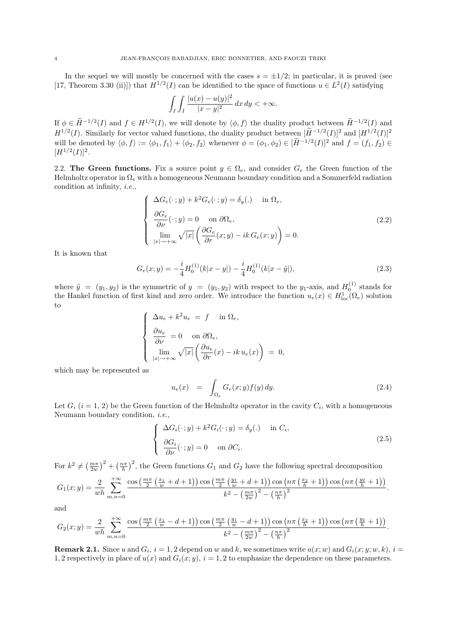In the sequel we will mostly be concerned with the cases  $s = \pm 1/2$ ; in particular, it is proved (see [17, Theorem 3.30 (ii)]) that  $H^{1/2}(I)$  can be identified to the space of functions  $u \in L^2(I)$  satisfying

$$
\int_I \int_I \frac{|u(x) - u(y)|^2}{|x - y|^2} dx dy < +\infty.
$$

If  $\phi \in H^{-1/2}(I)$  and  $f \in H^{1/2}(I)$ , we will denote by  $\langle \phi, f \rangle$  the duality product between  $H^{-1/2}(I)$  and  $H^{1/2}(I)$ . Similarly for vector valued functions, the duality product between  $[\widetilde{H}^{-1/2}(I)]^2$  and  $[H^{1/2}(I)]^2$ will be denoted by  $\langle \phi, f \rangle := \langle \phi_1, f_1 \rangle + \langle \phi_2, f_2 \rangle$  whenever  $\phi = (\phi_1, \phi_2) \in [\tilde{H}^{-1/2}(I)]^2$  and  $f = (f_1, f_2) \in$  $[H^{1/2}(I)]^2$ .

2.2. The Green functions. Fix a source point  $y \in \Omega_e$ , and consider  $G_e$  the Green function of the Helmholtz operator in  $\Omega_e$  with a homogeneous Neumann boundary condition and a Sommerfeld radiation condition at infinity, i.e.,

$$
\Delta G_e(\cdot; y) + k^2 G_e(\cdot; y) = \delta_y(\cdot) \quad \text{in } \Omega_e,
$$
  
\n
$$
\frac{\partial G_e}{\partial \nu}(\cdot; y) = 0 \quad \text{on } \partial \Omega_e,
$$
  
\n
$$
\lim_{|x| \to +\infty} \sqrt{|x|} \left( \frac{\partial G_e}{\partial r}(x; y) - ik G_e(x; y) \right) = 0.
$$
\n(2.2)

It is known that

 $\sqrt{ }$  $\int$ 

 $\overline{\mathcal{L}}$ 

$$
G_e(x; y) = -\frac{i}{4} H_0^{(1)}(k|x-y|) - \frac{i}{4} H_0^{(1)}(k|x-\tilde{y}|),
$$
\n(2.3)

where  $\tilde{y} = (y_1, y_2)$  is the symmetric of  $y = (y_1, y_2)$  with respect to the  $y_1$ -axis, and  $H_0^{(1)}$  stands for the Hankel function of first kind and zero order. We introduce the function  $u_e(x) \in H^1_{loc}(\Omega_e)$  solution to

$$
\begin{cases}\n\Delta u_e + k^2 u_e = f \quad \text{in } \Omega_e, \\
\frac{\partial u_e}{\partial \nu} = 0 \quad \text{on } \partial \Omega_e, \\
\lim_{|x| \to +\infty} \sqrt{|x|} \left( \frac{\partial u_e}{\partial r}(x) - ik u_e(x) \right) = 0,\n\end{cases}
$$

which may be represented as

$$
u_e(x) = \int_{\Omega_e} G_e(x; y) f(y) dy.
$$
 (2.4)

Let  $G_i$   $(i = 1, 2)$  be the Green function of the Helmholtz operator in the cavity  $C_i$ , with a homogeneous Neumann boundary condition, i.e.,

$$
\begin{cases}\n\Delta G_i(\cdot; y) + k^2 G_i(\cdot; y) = \delta_y(\cdot) & \text{in } C_i, \\
\frac{\partial G_i}{\partial \nu}(\cdot; y) = 0 & \text{on } \partial C_i.\n\end{cases}
$$
\n(2.5)

For  $k^2 \neq \left(\frac{m\pi}{2w}\right)^2 + \left(\frac{n\pi}{h}\right)^2$ , the Green functions  $G_1$  and  $G_2$  have the following spectral decomposition

$$
G_1(x;y) = \frac{2}{wh} \sum_{m,n=0}^{+\infty} \frac{\cos\left(\frac{m\pi}{2}\left(\frac{x_1}{w}+d+1\right)\right)\cos\left(\frac{m\pi}{2}\left(\frac{y_1}{w}+d+1\right)\right)\cos\left(n\pi\left(\frac{x_2}{h}+1\right)\right)\cos\left(n\pi\left(\frac{y_2}{h}+1\right)\right)}{k^2-\left(\frac{m\pi}{2w}\right)^2-\left(\frac{n\pi}{h}\right)^2}.
$$

and

$$
G_2(x;y) = \frac{2}{wh} \sum_{m,n=0}^{+\infty} \frac{\cos\left(\frac{m\pi}{2}\left(\frac{x_1}{w}-d+1\right)\right)\cos\left(\frac{m\pi}{2}\left(\frac{y_1}{w}-d+1\right)\right)\cos\left(n\pi\left(\frac{x_2}{h}+1\right)\right)\cos\left(n\pi\left(\frac{y_2}{h}+1\right)\right)}{k^2-\left(\frac{m\pi}{2w}\right)^2-\left(\frac{n\pi}{h}\right)^2}.
$$

**Remark 2.1.** Since u and  $G_i$ ,  $i = 1, 2$  depend on w and k, we sometimes write  $u(x; w)$  and  $G_i(x; y; w, k)$ ,  $i =$ 1, 2 respectively in place of  $u(x)$  and  $G_i(x; y)$ ,  $i = 1, 2$  to emphasize the dependence on these parameters.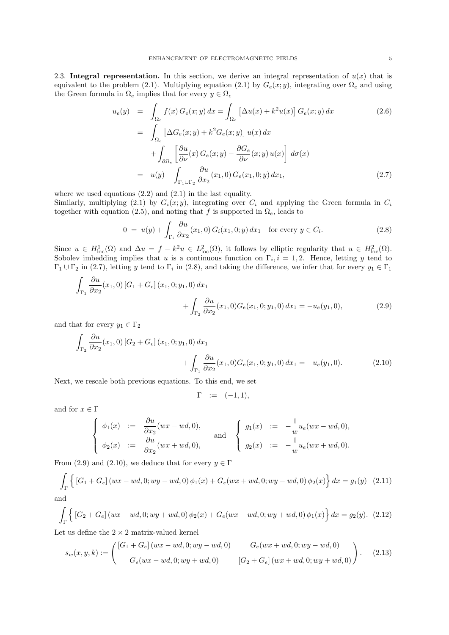2.3. Integral representation. In this section, we derive an integral representation of  $u(x)$  that is equivalent to the problem (2.1). Multiplying equation (2.1) by  $G_e(x; y)$ , integrating over  $\Omega_e$  and using the Green formula in  $\Omega_e$  implies that for every  $y \in \Omega_e$ 

$$
u_e(y) = \int_{\Omega_e} f(x) G_e(x; y) dx = \int_{\Omega_e} \left[ \Delta u(x) + k^2 u(x) \right] G_e(x; y) dx
$$
\n
$$
= \int \left[ \Delta G_e(x; y) + k^2 G_e(x; y) \right] u(x) dx
$$
\n(2.6)

$$
= \int_{\Omega_e} \left[ \Delta G_e(x; y) + k^2 G_e(x; y) \right] u(x) dx
$$
  
+ 
$$
\int_{\partial \Omega_e} \left[ \frac{\partial u}{\partial \nu}(x) G_e(x; y) - \frac{\partial G_e}{\partial \nu}(x; y) u(x) \right] d\sigma(x)
$$
  
= 
$$
u(y) - \int_{\Gamma_1 \cup \Gamma_2} \frac{\partial u}{\partial x_2}(x_1, 0) G_e(x_1, 0; y) dx_1,
$$
 (2.7)

where we used equations  $(2.2)$  and  $(2.1)$  in the last equality.

Similarly, multiplying (2.1) by  $G_i(x; y)$ , integrating over  $C_i$  and applying the Green formula in  $C_i$ together with equation (2.5), and noting that f is supported in  $\Omega_e$ , leads to

$$
0 = u(y) + \int_{\Gamma_i} \frac{\partial u}{\partial x_2}(x_1, 0) G_i(x_1, 0; y) dx_1 \quad \text{for every } y \in C_i.
$$
 (2.8)

Since  $u \in H^1_{loc}(\Omega)$  and  $\Delta u = f - k^2 u \in L^2_{loc}(\Omega)$ , it follows by elliptic regularity that  $u \in H^2_{loc}(\Omega)$ . Sobolev imbedding implies that u is a continuous function on  $\Gamma_i$ ,  $i = 1, 2$ . Hence, letting y tend to  $\Gamma_1 \cup \Gamma_2$  in (2.7), letting y tend to  $\Gamma_i$  in (2.8), and taking the difference, we infer that for every  $y_1 \in \Gamma_1$ 

$$
\int_{\Gamma_1} \frac{\partial u}{\partial x_2}(x_1,0) \left[G_1 + G_e\right](x_1,0;y_1,0) dx_1 + \int_{\Gamma_2} \frac{\partial u}{\partial x_2}(x_1,0) G_e(x_1,0;y_1,0) dx_1 = -u_e(y_1,0),
$$
\n(2.9)

and that for every  $y_1 \in \Gamma_2$ 

$$
\int_{\Gamma_2} \frac{\partial u}{\partial x_2}(x_1,0) \left[ G_2 + G_e \right](x_1,0;y_1,0) dx_1 + \int_{\Gamma_1} \frac{\partial u}{\partial x_2}(x_1,0) G_e(x_1,0;y_1,0) dx_1 = -u_e(y_1,0).
$$
\n(2.10)

Next, we rescale both previous equations. To this end, we set

$$
\Gamma \quad := \quad (-1,1),
$$

and for  $x \in \Gamma$ 

$$
\begin{cases}\n\phi_1(x) &:= \frac{\partial u}{\partial x_2}(wx - wd, 0), \\
\phi_2(x) &:= \frac{\partial u}{\partial x_2}(wx + wd, 0),\n\end{cases}\n\text{ and }\n\begin{cases}\ng_1(x) &:= -\frac{1}{w}u_e(wx - wd, 0), \\
g_2(x) &:= -\frac{1}{w}u_e(wx + wd, 0).\n\end{cases}
$$

From (2.9) and (2.10), we deduce that for every  $y \in \Gamma$ 

$$
\int_{\Gamma} \left\{ \left[ G_1 + G_e \right] (wx - wd, 0; wy - wd, 0) \phi_1(x) + G_e(wx + wd, 0; wy - wd, 0) \phi_2(x) \right\} dx = g_1(y) \tag{2.11}
$$
 and

$$
\int_{\Gamma} \left\{ \left[ G_2 + G_e \right] (wx + wd, 0; wy + wd, 0) \phi_2(x) + G_e(wx - wd, 0; wy + wd, 0) \phi_1(x) \right\} dx = g_2(y). \tag{2.12}
$$

Let us define the  $2 \times 2$  matrix-valued kernel

$$
s_w(x, y, k) := \begin{pmatrix} [G_1 + G_e](wx - wd, 0; wy - wd, 0) & G_e(wx + wd, 0; wy - wd, 0) \\ G_e(wx - wd, 0; wy + wd, 0) & [G_2 + G_e](wx + wd, 0; wy + wd, 0) \end{pmatrix}.
$$
 (2.13)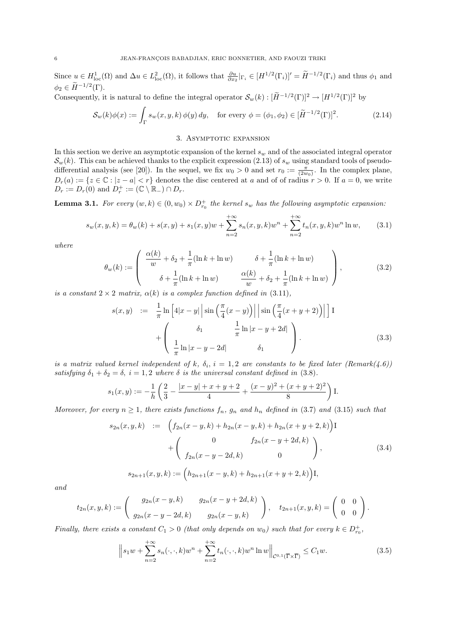Since  $u \in H^1_{loc}(\Omega)$  and  $\Delta u \in L^2_{loc}(\Omega)$ , it follows that  $\frac{\partial u}{\partial x_2}|_{\Gamma_i} \in [H^{1/2}(\Gamma_i)]' = \widetilde{H}^{-1/2}(\Gamma_i)$  and thus  $\phi_1$  and  $\phi_2 \in \widetilde{H}^{-1/2}(\Gamma).$ 

Consequently, it is natural to define the integral operator  $\mathcal{S}_w(k): [\tilde{H}^{-1/2}(\Gamma)]^2 \to [H^{1/2}(\Gamma)]^2$  by

$$
\mathcal{S}_w(k)\phi(x) := \int_{\Gamma} s_w(x, y, k) \phi(y) dy, \quad \text{for every } \phi = (\phi_1, \phi_2) \in [\widetilde{H}^{-1/2}(\Gamma)]^2.
$$
 (2.14)

### 3. ASYMPTOTIC EXPANSION

In this section we derive an asymptotic expansion of the kernel  $s_w$  and of the associated integral operator  $\mathcal{S}_w(k)$ . This can be achieved thanks to the explicit expression (2.13) of  $s_w$  using standard tools of pseudodifferential analysis (see [20]). In the sequel, we fix  $w_0 > 0$  and set  $r_0 := \frac{\pi}{(2w_0)}$ . In the complex plane,  $D_r(a) := \{z \in \mathbb{C} : |z - a| < r\}$  denotes the disc centered at a and of of radius  $r > 0$ . If  $a = 0$ , we write  $D_r := D_r(0)$  and  $D_r^+ := (\mathbb{C} \setminus \mathbb{R}_-) \cap D_r$ .

**Lemma 3.1.** For every  $(w, k) \in (0, w_0) \times D_{r_0}^+$  the kernel  $s_w$  has the following asymptotic expansion:

$$
s_w(x, y, k) = \theta_w(k) + s(x, y) + s_1(x, y)w + \sum_{n=2}^{+\infty} s_n(x, y, k)w^n + \sum_{n=2}^{+\infty} t_n(x, y, k)w^n \ln w,
$$
 (3.1)

where

$$
\theta_w(k) := \begin{pmatrix} \frac{\alpha(k)}{w} + \delta_2 + \frac{1}{\pi} (\ln k + \ln w) & \delta + \frac{1}{\pi} (\ln k + \ln w) \\ \delta + \frac{1}{\pi} (\ln k + \ln w) & \frac{\alpha(k)}{w} + \delta_2 + \frac{1}{\pi} (\ln k + \ln w) \end{pmatrix},
$$
(3.2)

is a constant  $2 \times 2$  matrix,  $\alpha(k)$  is a complex function defined in (3.11),

$$
s(x,y) := \frac{1}{\pi} \ln \left[ 4|x-y| \left| \sin \left( \frac{\pi}{4} (x-y) \right) \right| \right] \sin \left( \frac{\pi}{4} (x+y+2) \right) \Big| \Big] \mathbf{I}
$$
  
+ 
$$
\left( \frac{\delta_1}{\pi} \ln |x-y-2d| \right) \delta_1
$$
 (3.3)

is a matrix valued kernel independent of k,  $\delta_i$ ,  $i = 1,2$  are constants to be fixed later (Remark(4.6)) satisfying  $\delta_1 + \delta_2 = \delta$ ,  $i = 1, 2$  where  $\delta$  is the universal constant defined in (3.8).

$$
s_1(x,y) := -\frac{1}{h} \left( \frac{2}{3} - \frac{|x-y| + x + y + 2}{4} + \frac{(x-y)^2 + (x+y+2)^2}{8} \right) \mathbf{I}.
$$

Moreover, for every  $n \geq 1$ , there exists functions  $f_n$ ,  $g_n$  and  $h_n$  defined in (3.7) and (3.15) such that

$$
s_{2n}(x, y, k) := \left( f_{2n}(x - y, k) + h_{2n}(x - y, k) + h_{2n}(x + y + 2, k) \right) \mathbf{I}
$$

$$
+ \left( \begin{array}{cc} 0 & f_{2n}(x - y + 2d, k) \\ f_{2n}(x - y - 2d, k) & 0 \end{array} \right), \tag{3.4}
$$

$$
s_{2n+1}(x, y, k) := \left( h_{2n+1}(x - y, k) + h_{2n+1}(x + y + 2, k) \right) \mathbf{I},
$$

and

$$
t_{2n}(x,y,k) := \begin{pmatrix} g_{2n}(x-y,k) & g_{2n}(x-y+2d,k) \\ g_{2n}(x-y-2d,k) & g_{2n}(x-y,k) \end{pmatrix}, \quad t_{2n+1}(x,y,k) = \begin{pmatrix} 0 & 0 \\ 0 & 0 \end{pmatrix}.
$$

Finally, there exists a constant  $C_1 > 0$  (that only depends on  $w_0$ ) such that for every  $k \in D_{r_0}^+$ ,

$$
\left\|s_1w + \sum_{n=2}^{+\infty} s_n(\cdot, \cdot, k)w^n + \sum_{n=2}^{+\infty} t_n(\cdot, \cdot, k)w^n \ln w \right\|_{\mathcal{C}^{0,1}(\overline{\Gamma}\times\overline{\Gamma})} \leq C_1w. \tag{3.5}
$$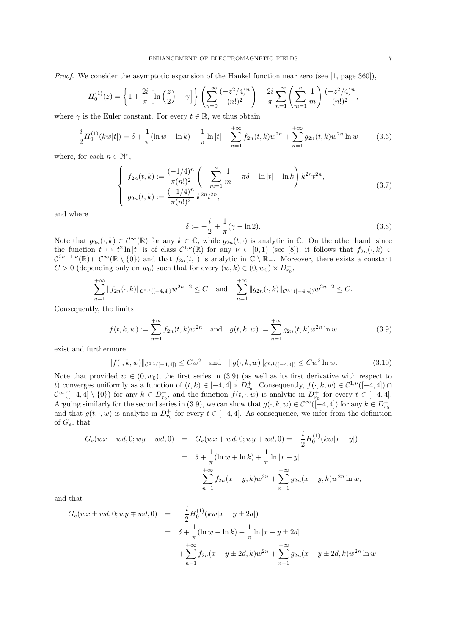Proof. We consider the asymptotic expansion of the Hankel function near zero (see [1, page 360]),

$$
H_0^{(1)}(z) = \left\{ 1 + \frac{2i}{\pi} \left[ \ln\left(\frac{z}{2}\right) + \gamma \right] \right\} \left( \sum_{n=0}^{+\infty} \frac{(-z^2/4)^n}{(n!)^2} \right) - \frac{2i}{\pi} \sum_{n=1}^{+\infty} \left( \sum_{m=1}^n \frac{1}{m} \right) \frac{(-z^2/4)^n}{(n!)^2},
$$

where  $\gamma$  is the Euler constant. For every  $t \in \mathbb{R}$ , we thus obtain

$$
-\frac{i}{2}H_0^{(1)}(kw|t|) = \delta + \frac{1}{\pi}(\ln w + \ln k) + \frac{1}{\pi}\ln|t| + \sum_{n=1}^{+\infty} f_{2n}(t,k)w^{2n} + \sum_{n=1}^{+\infty} g_{2n}(t,k)w^{2n}\ln w \tag{3.6}
$$

where, for each  $n \in \mathbb{N}^*$ ,

$$
\begin{cases}\nf_{2n}(t,k) := \frac{(-1/4)^n}{\pi(n!)^2} \left( -\sum_{m=1}^n \frac{1}{m} + \pi \delta + \ln|t| + \ln k \right) k^{2n} t^{2n}, \\
g_{2n}(t,k) := \frac{(-1/4)^n}{\pi(n!)^2} k^{2n} t^{2n},\n\end{cases} \tag{3.7}
$$

and where

$$
\delta := -\frac{i}{2} + \frac{1}{\pi} (\gamma - \ln 2). \tag{3.8}
$$

Note that  $g_{2n}(\cdot, k) \in C^{\infty}(\mathbb{R})$  for any  $k \in \mathbb{C}$ , while  $g_{2n}(t, \cdot)$  is analytic in  $\mathbb{C}$ . On the other hand, since the function  $t \mapsto t^2 \ln |t|$  is of class  $C^{1,\nu}(\mathbb{R})$  for any  $\nu \in [0,1)$  (see [8]), it follows that  $f_{2n}(\cdot, k) \in$  $\mathcal{C}^{2n-1,\nu}(\mathbb{R})\cap\mathcal{C}^{\infty}(\mathbb{R}\setminus\{0\})$  and that  $f_{2n}(t,\cdot)$  is analytic in  $\mathbb{C}\setminus\mathbb{R}_+$ . Moreover, there exists a constant  $C > 0$  (depending only on  $w_0$ ) such that for every  $(w, k) \in (0, w_0) \times D_{r_0}^+$ ,

$$
\sum_{n=1}^{+\infty} \|f_{2n}(\cdot,k)\|_{\mathcal{C}^{0,1}([-4,4])} w^{2n-2} \leq C \quad \text{and} \quad \sum_{n=1}^{+\infty} \|g_{2n}(\cdot,k)\|_{\mathcal{C}^{0,1}([-4,4])} w^{2n-2} \leq C.
$$

Consequently, the limits

$$
f(t,k,w) := \sum_{n=1}^{+\infty} f_{2n}(t,k)w^{2n} \text{ and } g(t,k,w) := \sum_{n=1}^{+\infty} g_{2n}(t,k)w^{2n} \ln w
$$
 (3.9)

exist and furthermore

$$
||f(\cdot,k,w)||_{\mathcal{C}^{0,1}([-4,4])} \leq Cw^2 \quad \text{and} \quad ||g(\cdot,k,w)||_{\mathcal{C}^{0,1}([-4,4])} \leq Cw^2 \ln w. \tag{3.10}
$$

Note that provided  $w \in (0, w_0)$ , the first series in (3.9) (as well as its first derivative with respect to t) converges uniformly as a function of  $(t, k) \in [-4, 4] \times D_{r_0}^+$ . Consequently,  $f(\cdot, k, w) \in C^{1,\nu}([-4, 4]) \cap$  $\mathcal{C}^{\infty}([-4,4] \setminus \{0\})$  for any  $k \in D_{r_0}^+$ , and the function  $f(t,\cdot,w)$  is analytic in  $D_{r_0}^+$  for every  $t \in [-4,4]$ . Arguing similarly for the second series in (3.9), we can show that  $g(\cdot, k, w) \in C^{\infty}([-4, 4])$  for any  $k \in D_{r_0}^+$ , and that  $g(t, \cdot, w)$  is analytic in  $D_{r_0}^+$  for every  $t \in [-4, 4]$ . As consequence, we infer from the definition of  $G_e$ , that

$$
G_e(wx - wd, 0; wy - wd, 0) = G_e(wx + wd, 0; wy + wd, 0) = -\frac{i}{2}H_0^{(1)}(kw|x - y|)
$$
  
=  $\delta + \frac{1}{\pi}(\ln w + \ln k) + \frac{1}{\pi}\ln|x - y|$   
 $+ \sum_{n=1}^{+\infty} f_{2n}(x - y, k)w^{2n} + \sum_{n=1}^{+\infty} g_{2n}(x - y, k)w^{2n} \ln w,$ 

and that

$$
G_e(wx \pm wd, 0; wy \mp wd, 0) = -\frac{i}{2}H_0^{(1)}(kw|x - y \pm 2d|)
$$
  
=  $\delta + \frac{1}{\pi}(\ln w + \ln k) + \frac{1}{\pi}\ln|x - y \pm 2d|$   
 $+ \sum_{n=1}^{+\infty} f_{2n}(x - y \pm 2d, k)w^{2n} + \sum_{n=1}^{+\infty} g_{2n}(x - y \pm 2d, k)w^{2n}\ln w.$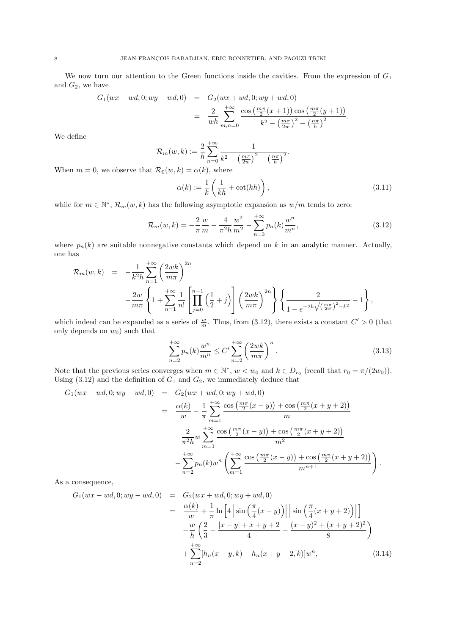We now turn our attention to the Green functions inside the cavities. From the expression of  $G_1$ and  $G_2$ , we have

$$
G_1(wx - wd, 0; wy - wd, 0) = G_2(wx + wd, 0; wy + wd, 0)
$$
  
= 
$$
\frac{2}{wh} \sum_{m,n=0}^{+\infty} \frac{\cos(\frac{m\pi}{2}(x+1))\cos(\frac{m\pi}{2}(y+1))}{k^2 - (\frac{m\pi}{2}^2) - (\frac{n\pi}{h})^2}.
$$

We define

$$
\mathcal{R}_m(w,k) := \frac{2}{h} \sum_{n=0}^{+\infty} \frac{1}{k^2 - \left(\frac{m\pi}{2w}\right)^2 - \left(\frac{n\pi}{h}\right)^2}.
$$

When  $m = 0$ , we observe that  $\mathcal{R}_0(w, k) = \alpha(k)$ , where

$$
\alpha(k) := \frac{1}{k} \left( \frac{1}{kh} + \cot(kh) \right),\tag{3.11}
$$

while for  $m \in \mathbb{N}^*$ ,  $\mathcal{R}_m(w, k)$  has the following asymptotic expansion as  $w/m$  tends to zero:

$$
\mathcal{R}_m(w,k) = -\frac{2}{\pi} \frac{w}{m} - \frac{4}{\pi^2 h} \frac{w^2}{m^2} - \sum_{n=3}^{+\infty} p_n(k) \frac{w^n}{m^n},\tag{3.12}
$$

where  $p_n(k)$  are suitable nonnegative constants which depend on k in an analytic manner. Actually, one has

$$
\mathcal{R}_{m}(w,k) = -\frac{1}{k^{2}h} \sum_{n=1}^{+\infty} \left(\frac{2wk}{m\pi}\right)^{2n} -\frac{2w}{m\pi} \left\{1 + \sum_{n=1}^{+\infty} \frac{1}{n!} \left[\prod_{j=0}^{n-1} \left(\frac{1}{2} + j\right)\right] \left(\frac{2wk}{m\pi}\right)^{2n}\right\} \left\{\frac{2}{1 - e^{-2h\sqrt{\left(\frac{m\pi}{2w}\right)^{2} - k^{2}}}} - 1\right\},
$$

which indeed can be expanded as a series of  $\frac{w}{m}$ . Thus, from (3.12), there exists a constant  $C' > 0$  (that only depends on  $w_0$ ) such that

$$
\sum_{n=2}^{+\infty} p_n(k) \frac{w^n}{m^n} \le C' \sum_{n=2}^{+\infty} \left(\frac{2wk}{m\pi}\right)^n.
$$
 (3.13)

Note that the previous series converges when  $m \in \mathbb{N}^*$ ,  $w < w_0$  and  $k \in D_{r_0}$  (recall that  $r_0 = \pi/(2w_0)$ ). Using  $(3.12)$  and the definition of  $G_1$  and  $G_2$ , we immediately deduce that

$$
G_1(wx - wd, 0; wy - wd, 0) = G_2(wx + wd, 0; wy + wd, 0)
$$
  
= 
$$
\frac{\alpha(k)}{w} - \frac{1}{\pi} \sum_{m=1}^{+\infty} \frac{\cos(\frac{m\pi}{2}(x - y)) + \cos(\frac{m\pi}{2}(x + y + 2))}{m}
$$

$$
-\frac{2}{\pi^2 h} w \sum_{m=1}^{+\infty} \frac{\cos(\frac{m\pi}{2}(x - y)) + \cos(\frac{m\pi}{2}(x + y + 2))}{m^2}
$$

$$
-\sum_{n=2}^{+\infty} p_n(k) w^n \left( \sum_{m=1}^{+\infty} \frac{\cos(\frac{m\pi}{2}(x - y)) + \cos(\frac{m\pi}{2}(x + y + 2))}{m^{n+1}} \right).
$$

As a consequence,

$$
G_1(wx - wd, 0; wy - wd, 0) = G_2(wx + wd, 0; wy + wd, 0)
$$
  
= 
$$
\frac{\alpha(k)}{w} + \frac{1}{\pi} \ln\left[4\left|\sin\left(\frac{\pi}{4}(x - y)\right)\right|\right] \sin\left(\frac{\pi}{4}(x + y + 2)\right)\right]
$$

$$
-\frac{w}{h}\left(\frac{2}{3} - \frac{|x - y| + x + y + 2}{4} + \frac{(x - y)^2 + (x + y + 2)^2}{8}\right)
$$

$$
+\sum_{n=2}^{+\infty} [h_n(x - y, k) + h_n(x + y + 2, k)]w^n,
$$
(3.14)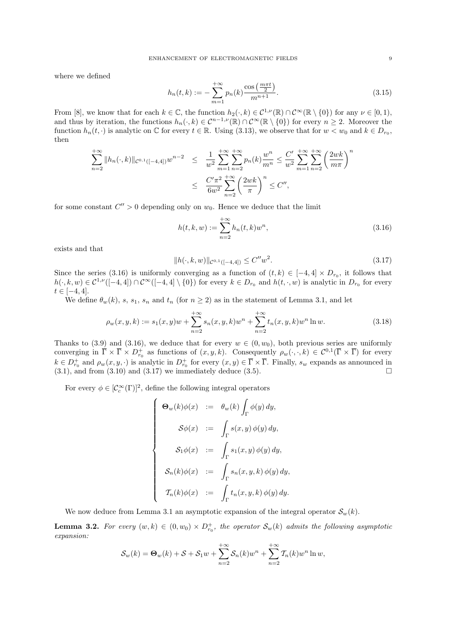where we defined

$$
h_n(t,k) := -\sum_{m=1}^{+\infty} p_n(k) \frac{\cos\left(\frac{m\pi t}{2}\right)}{m^{n+1}}.
$$
\n(3.15)

From [8], we know that for each  $k \in \mathbb{C}$ , the function  $h_2(\cdot, k) \in C^{1,\nu}(\mathbb{R}) \cap C^{\infty}(\mathbb{R} \setminus \{0\})$  for any  $\nu \in [0, 1)$ , and thus by iteration, the functions  $h_n(\cdot, k) \in C^{n-1,\nu}(\mathbb{R}) \cap C^{\infty}(\mathbb{R} \setminus \{0\})$  for every  $n \geq 2$ . Moreover the function  $h_n(t, \cdot)$  is analytic on  $\mathbb C$  for every  $t \in \mathbb R$ . Using (3.13), we observe that for  $w < w_0$  and  $k \in D_{r_0}$ , then

$$
\sum_{n=2}^{+\infty} \|h_n(\cdot,k)\|_{\mathcal{C}^{0,1}([-4,4])} w^{n-2} \le \frac{1}{w^2} \sum_{m=1}^{+\infty} \sum_{n=2}^{+\infty} p_n(k) \frac{w^n}{m^n} \le \frac{C'}{w^2} \sum_{m=1}^{+\infty} \sum_{n=2}^{+\infty} \left(\frac{2wk}{m\pi}\right)^n
$$
  

$$
\le \frac{C'\pi^2}{6w^2} \sum_{n=2}^{+\infty} \left(\frac{2wk}{\pi}\right)^n \le C'',
$$

for some constant  $C'' > 0$  depending only on  $w_0$ . Hence we deduce that the limit

$$
h(t,k,w) := \sum_{n=2}^{+\infty} h_n(t,k)w^n,
$$
\n(3.16)

exists and that

$$
||h(\cdot,k,w)||_{\mathcal{C}^{0,1}([-4,4])} \le C''w^2. \tag{3.17}
$$

Since the series (3.16) is uniformly converging as a function of  $(t, k) \in [-4, 4] \times D_{r_0}$ , it follows that  $h(\cdot, k, w) \in C^{1,\nu}([-4, 4]) \cap C^{\infty}([-4, 4] \setminus \{0\})$  for every  $k \in D_{r_0}$  and  $h(t, \cdot, w)$  is analytic in  $D_{r_0}$  for every  $t \in [-4, 4].$ 

We define  $\theta_w(k)$ , s,  $s_1$ ,  $s_n$  and  $t_n$  (for  $n \geq 2$ ) as in the statement of Lemma 3.1, and let

$$
\rho_w(x, y, k) := s_1(x, y)w + \sum_{n=2}^{+\infty} s_n(x, y, k)w^n + \sum_{n=2}^{+\infty} t_n(x, y, k)w^n \ln w.
$$
\n(3.18)

Thanks to (3.9) and (3.16), we deduce that for every  $w \in (0, w_0)$ , both previous series are uniformly converging in  $\overline{\Gamma} \times \overline{\Gamma} \times D_{r_0}^+$  as functions of  $(x, y, k)$ . Consequently  $\rho_w(\cdot, \cdot, k) \in C^{0,1}(\overline{\Gamma} \times \overline{\Gamma})$  for every  $k \in D_{r_0}^+$  and  $\rho_w(x, y, \cdot)$  is analytic in  $D_{r_0}^+$  for every  $(x, y) \in \overline{\Gamma} \times \overline{\Gamma}$ . Finally,  $s_w$  expands as announced in  $(3.1)$ , and from  $(3.10)$  and  $(3.17)$  we immediately deduce  $(3.5)$ .

For every  $\phi \in [\mathcal{C}_c^{\infty}(\Gamma)]^2$ , define the following integral operators

$$
\begin{cases}\n\Theta_w(k)\phi(x) &:= \theta_w(k)\int_{\Gamma}\phi(y)\,dy, \\
\mathcal{S}\phi(x) &:= \int_{\Gamma}s(x,y)\,\phi(y)\,dy, \\
\mathcal{S}_1\phi(x) &:= \int_{\Gamma}s_1(x,y)\,\phi(y)\,dy, \\
\mathcal{S}_n(k)\phi(x) &:= \int_{\Gamma}s_n(x,y,k)\,\phi(y)\,dy, \\
\mathcal{T}_n(k)\phi(x) &:= \int_{\Gamma}t_n(x,y,k)\,\phi(y)\,dy.\n\end{cases}
$$

We now deduce from Lemma 3.1 an asymptotic expansion of the integral operator  $\mathcal{S}_{w}(k)$ .

**Lemma 3.2.** For every  $(w, k) \in (0, w_0) \times D_{r_0}^+$ , the operator  $\mathcal{S}_w(k)$  admits the following asymptotic expansion:

$$
S_w(k) = \mathbf{\Theta}_w(k) + S + S_1 w + \sum_{n=2}^{+\infty} S_n(k) w^n + \sum_{n=2}^{+\infty} T_n(k) w^n \ln w,
$$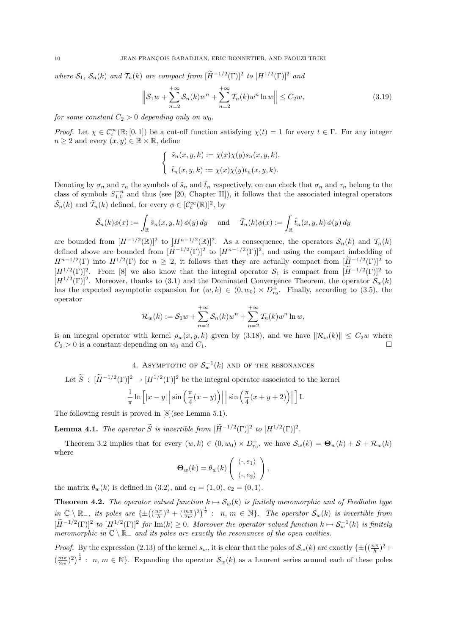where  $S_1$ ,  $S_n(k)$  and  $\mathcal{T}_n(k)$  are compact from  $[\widetilde{H}^{-1/2}(\Gamma)]^2$  to  $[H^{1/2}(\Gamma)]^2$  and

$$
\left\| \mathcal{S}_1 w + \sum_{n=2}^{+\infty} \mathcal{S}_n(k) w^n + \sum_{n=2}^{+\infty} \mathcal{T}_n(k) w^n \ln w \right\| \le C_2 w,
$$
\n(3.19)

for some constant  $C_2 > 0$  depending only on  $w_0$ .

Proof. Let  $\chi \in C_c^{\infty}(\mathbb{R};[0,1])$  be a cut-off function satisfying  $\chi(t) = 1$  for every  $t \in \Gamma$ . For any integer  $n \geq 2$  and every  $(x, y) \in \mathbb{R} \times \mathbb{R}$ , define

$$
\begin{cases} \tilde{s}_n(x, y, k) := \chi(x)\chi(y)s_n(x, y, k), \\ \tilde{t}_n(x, y, k) := \chi(x)\chi(y)t_n(x, y, k). \end{cases}
$$

Denoting by  $\sigma_n$  and  $\tau_n$  the symbols of  $\tilde{s}_n$  and  $\tilde{t}_n$  respectively, on can check that  $\sigma_n$  and  $\tau_n$  belong to the class of symbols  $S_{1,0}^{-n}$  and thus (see [20, Chapter II]), it follows that the associated integral operators  $\tilde{S}_n(k)$  and  $\tilde{\mathcal{T}}_n(k)$  defined, for every  $\phi \in [\mathcal{C}_c^{\infty}(\mathbb{R})]^2$ , by

$$
\tilde{\mathcal{S}}_n(k)\phi(x) := \int_{\mathbb{R}} \tilde{s}_n(x, y, k) \, \phi(y) \, dy \quad \text{ and } \quad \tilde{\mathcal{T}}_n(k)\phi(x) := \int_{\mathbb{R}} \tilde{t}_n(x, y, k) \, \phi(y) \, dy
$$

are bounded from  $[H^{-1/2}(\mathbb{R})]^2$  to  $[H^{n-1/2}(\mathbb{R})]^2$ . As a consequence, the operators  $\mathcal{S}_n(k)$  and  $\mathcal{T}_n(k)$ defined above are bounded from  $[\tilde{H}^{-1/2}(\Gamma)]^2$  to  $[H^{n-1/2}(\Gamma)]^2$ , and using the compact imbedding of  $H^{n-1/2}(\Gamma)$  into  $H^{1/2}(\Gamma)$  for  $n \geq 2$ , it follows that they are actually compact from  $[\widetilde{H}^{-1/2}(\Gamma)]^2$  to  $[H^{1/2}(\Gamma)]^2$ . From [8] we also know that the integral operator  $S_1$  is compact from  $[\widetilde{H}^{-1/2}(\Gamma)]^2$  to  $[H^{1/2}(\Gamma)]^2$ . Moreover, thanks to (3.1) and the Dominated Convergence Theorem, the operator  $\mathcal{S}_w(k)$ has the expected asymptotic expansion for  $(w, k) \in (0, w_0) \times D_{r_0}^+$ . Finally, according to (3.5), the operator

$$
\mathcal{R}_{w}(k) := \mathcal{S}_{1}w + \sum_{n=2}^{+\infty} \mathcal{S}_{n}(k)w^{n} + \sum_{n=2}^{+\infty} \mathcal{T}_{n}(k)w^{n} \ln w,
$$

is an integral operator with kernel  $\rho_w(x, y, k)$  given by (3.18), and we have  $\|\mathcal{R}_w(k)\| \leq C_2w$  where  $C_2 > 0$  is a constant depending on  $w_0$  and  $C_1$ .

4. ASYMPTOTIC OF  $\mathcal{S}_{w}^{-1}(k)$  and of the resonances

Let  $\widetilde{S}$ :  $[\widetilde{H}^{-1/2}(\Gamma)]^2 \to [H^{1/2}(\Gamma)]^2$  be the integral operator associated to the kernel

$$
\frac{1}{\pi} \ln \left[ |x - y| \left| \sin \left( \frac{\pi}{4} (x - y) \right) \right| \right] \sin \left( \frac{\pi}{4} (x + y + 2) \right) \right] \bigg] \text{ I.}
$$

The following result is proved in [8](see Lemma 5.1).

**Lemma 4.1.** The operator  $\widetilde{S}$  is invertible from  $[\widetilde{H}^{-1/2}(\Gamma)]^2$  to  $[H^{1/2}(\Gamma)]^2$ .

Theorem 3.2 implies that for every  $(w, k) \in (0, w_0) \times D_{r_0}^+$ , we have  $\mathcal{S}_w(k) = \mathbf{\Theta}_w(k) + \mathcal{S} + \mathcal{R}_w(k)$ where

$$
\mathbf{\Theta}_{w}(k) = \theta_{w}(k) \left( \begin{array}{c} \langle \cdot, e_1 \rangle \\ \langle \cdot, e_2 \rangle \end{array} \right),
$$

the matrix  $\theta_w(k)$  is defined in (3.2), and  $e_1 = (1, 0), e_2 = (0, 1)$ .

**Theorem 4.2.** The operator valued function  $k \mapsto S_w(k)$  is finitely meromorphic and of Fredholm type  $in \ \mathbb{C} \setminus \mathbb{R}_-$ , its poles are  $\{\pm \left( \left( \frac{n\pi}{h} \right)^2 + \left( \frac{m\pi}{2w} \right)^2 \right)^{\frac{1}{2}} : n, m \in \mathbb{N} \}$ . The operator  $\mathcal{S}_w(k)$  is invertible from  $[\widetilde{H}^{-1/2}(\Gamma)]^2$  to  $[H^{1/2}(\Gamma)]^2$  for  $\text{Im}(k) \geq 0$ . Moreover the operator valued function  $k \mapsto \mathcal{S}_w^{-1}(k)$  is finitely meromorphic in  $\mathbb{C} \setminus \mathbb{R}_-$  and its poles are exactly the resonances of the open cavities.

*Proof.* By the expression (2.13) of the kernel  $s_w$ , it is clear that the poles of  $\mathcal{S}_w(k)$  are exactly  $\{\pm \left( \left( \frac{n\pi}{h} \right)^2 + \frac{1}{n} \right) \}$  $(\frac{m\pi}{2w})^2^{\frac{1}{2}}$ :  $n, m \in \mathbb{N}$ . Expanding the operator  $\mathcal{S}_w(k)$  as a Laurent series around each of these poles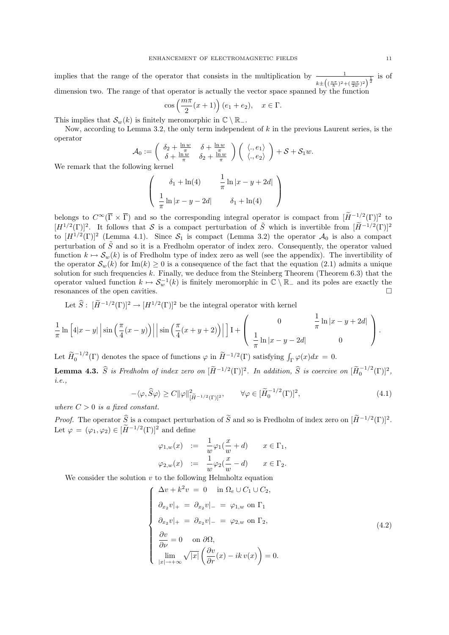implies that the range of the operator that consists in the multiplication by <sup>1</sup>  $k \pm \left( (\frac{n\pi}{h})^2 + (\frac{m\pi}{2w})^2 \right)^{\frac{1}{2}}$ is of dimension two. The range of that operator is actually the vector space spanned by the function

$$
\cos\left(\frac{m\pi}{2}(x+1)\right)(e_1+e_2), \quad x \in \Gamma.
$$

 $\ell m\pi$ 

This implies that  $\mathcal{S}_w(k)$  is finitely meromorphic in  $\mathbb{C} \setminus \mathbb{R}_-$ .

Now, according to Lemma 3.2, the only term independent of  $k$  in the previous Laurent series, is the operator

$$
\mathcal{A}_0 := \left( \begin{array}{cc} \delta_2 + \frac{\ln w}{\pi} & \delta + \frac{\ln w}{\pi} \\ \delta + \frac{\ln w}{\pi} & \delta_2 + \frac{\ln w}{\pi} \end{array} \right) \left( \begin{array}{c} \langle., e_1 \rangle \\ \langle., e_2 \rangle \end{array} \right) + \mathcal{S} + \mathcal{S}_1 w.
$$

We remark that the following kernel

$$
\begin{pmatrix}\n\delta_1 + \ln(4) & \frac{1}{\pi} \ln|x - y + 2d| \\
\frac{1}{\pi} \ln|x - y - 2d| & \delta_1 + \ln(4)\n\end{pmatrix}
$$

belongs to  $C^{\infty}(\overline{\Gamma} \times \overline{\Gamma})$  and so the corresponding integral operator is compact from  $[\tilde{H}^{-1/2}(\Gamma)]^2$  to  $[H^{1/2}(\Gamma)]^2$ . It follows that S is a compact perturbation of  $\tilde{S}$  which is invertible from  $[\tilde{H}^{-1/2}(\Gamma)]^2$ to  $[H^{1/2}(\Gamma)]^2$  (Lemma 4.1). Since  $S_1$  is compact (Lemma 3.2) the operator  $\mathcal{A}_0$  is also a compact perturbation of  $\tilde{S}$  and so it is a Fredholm operator of index zero. Consequently, the operator valued function  $k \mapsto \mathcal{S}_w(k)$  is of Fredholm type of index zero as well (see the appendix). The invertibility of the operator  $\mathcal{S}_w(k)$  for Im(k)  $\geq 0$  is a consequence of the fact that the equation (2.1) admits a unique solution for such frequencies  $k$ . Finally, we deduce from the Steinberg Theorem (Theorem 6.3) that the operator valued function  $k \mapsto \mathcal{S}_{w}^{-1}(k)$  is finitely meromorphic in  $\mathbb{C} \setminus \mathbb{R}_{-}$  and its poles are exactly the resonances of the open cavities.  $\hfill \square$ 

Let  $\hat{S}$ :  $[\tilde{H}^{-1/2}(\Gamma)]^2 \to [H^{1/2}(\Gamma)]^2$  be the integral operator with kernel

$$
\frac{1}{\pi}\ln\left[4|x-y|\left|\sin\left(\frac{\pi}{4}(x-y)\right)\right|\right|\sin\left(\frac{\pi}{4}(x+y+2)\right)\right]\right]1+\left(\begin{array}{cc}0 & \frac{1}{\pi}\ln|x-y+2d| \\ \frac{1}{\pi}\ln|x-y-2d| & 0\end{array}\right).
$$

Let  $\widetilde{H}_{0}^{-1/2}(\Gamma)$  denotes the space of functions  $\varphi$  in  $\widetilde{H}^{-1/2}(\Gamma)$  satisfying  $\int_{\Gamma} \varphi(x) dx = 0$ .

**Lemma 4.3.**  $\widehat{S}$  is Fredholm of index zero on  $[\widetilde{H}^{-1/2}(\Gamma)]^2$ . In addition,  $\widehat{S}$  is coercive on  $[\widetilde{H}_0^{-1/2}(\Gamma)]^2$ , i.e.,

$$
-\langle \varphi, \widehat{S}\varphi \rangle \ge C \|\varphi\|_{[\widetilde{H}^{-1/2}(\Gamma)]^2}^2, \qquad \forall \varphi \in [\widetilde{H}_0^{-1/2}(\Gamma)]^2,\tag{4.1}
$$

where  $C > 0$  is a fixed constant.

*Proof.* The operator  $\hat{S}$  is a compact perturbation of  $\tilde{S}$  and so is Fredholm of index zero on  $[\tilde{H}^{-1/2}(\Gamma)]^2$ . Let  $\varphi = (\varphi_1, \varphi_2) \in [\tilde{H}^{-1/2}(\Gamma)]^2$  and define

$$
\varphi_{1,w}(x) := \frac{1}{w} \varphi_1(\frac{x}{w} + d) \qquad x \in \Gamma_1,
$$
  

$$
\varphi_{2,w}(x) := \frac{1}{w} \varphi_2(\frac{x}{w} - d) \qquad x \in \Gamma_2.
$$

We consider the solution  $v$  to the following Helmholtz equation

 $\sqrt{ }$ 

 $\begin{array}{c} \hline \end{array}$ 

$$
\Delta v + k^2 v = 0 \quad \text{in } \Omega_e \cup C_1 \cup C_2,
$$
  
\n
$$
\partial_{x_2} v|_+ = \partial_{x_2} v|_- = \varphi_{1,w} \text{ on } \Gamma_1
$$
  
\n
$$
\partial_{x_2} v|_+ = \partial_{x_2} v|_- = \varphi_{2,w} \text{ on } \Gamma_2,
$$
  
\n
$$
\frac{\partial v}{\partial \nu} = 0 \quad \text{on } \partial \Omega,
$$
  
\n
$$
\lim_{|x| \to +\infty} \sqrt{|x|} \left( \frac{\partial v}{\partial r} (x) - ik v(x) \right) = 0.
$$
\n(4.2)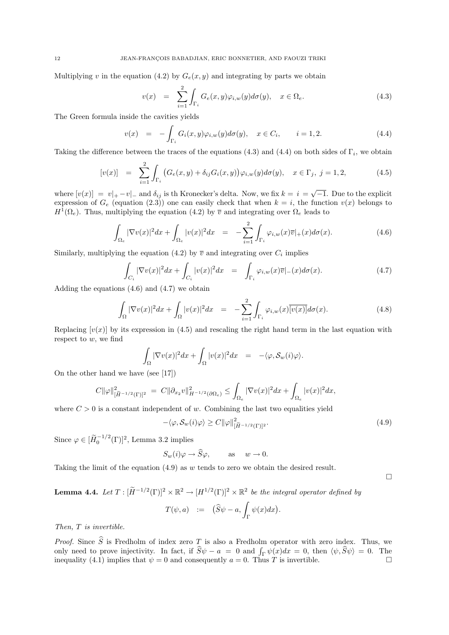Multiplying v in the equation (4.2) by  $G_e(x, y)$  and integrating by parts we obtain

$$
v(x) = \sum_{i=1}^{2} \int_{\Gamma_i} G_e(x, y) \varphi_{i,w}(y) d\sigma(y), \quad x \in \Omega_e.
$$
 (4.3)

The Green formula inside the cavities yields

$$
v(x) = -\int_{\Gamma_i} G_i(x, y)\varphi_{i,w}(y)d\sigma(y), \quad x \in C_i, \qquad i = 1, 2. \tag{4.4}
$$

Taking the difference between the traces of the equations (4.3) and (4.4) on both sides of  $\Gamma_i$ , we obtain

$$
[v(x)] = \sum_{i=1}^{2} \int_{\Gamma_i} (G_e(x, y) + \delta_{ij} G_i(x, y)) \varphi_{i,w}(y) d\sigma(y), \quad x \in \Gamma_j, \ j = 1, 2,
$$
 (4.5)

where  $[v(x)] = v_{+} - v_{-}$  and  $\delta_{ij}$  is th Kronecker's delta. Now, we fix  $k = i = \sqrt{-1}$ . Due to the explicit expression of  $G_e$  (equation (2.3)) one can easily check that when  $k = i$ , the function  $v(x)$  belongs to  $H^1(\Omega_e)$ . Thus, multiplying the equation (4.2) by  $\overline{v}$  and integrating over  $\Omega_e$  leads to

$$
\int_{\Omega_e} |\nabla v(x)|^2 dx + \int_{\Omega_e} |v(x)|^2 dx = -\sum_{i=1}^2 \int_{\Gamma_i} \varphi_{i,w}(x) \overline{v}|_+(x) d\sigma(x).
$$
\n(4.6)

Similarly, multiplying the equation (4.2) by  $\bar{v}$  and integrating over  $C_i$  implies

$$
\int_{C_i} |\nabla v(x)|^2 dx + \int_{C_i} |v(x)|^2 dx = \int_{\Gamma_i} \varphi_{i,w}(x) \overline{v}|_{-}(x) d\sigma(x).
$$
\n(4.7)

Adding the equations  $(4.6)$  and  $(4.7)$  we obtain

$$
\int_{\Omega} |\nabla v(x)|^2 dx + \int_{\Omega} |v(x)|^2 dx = -\sum_{i=1}^2 \int_{\Gamma_i} \varphi_{i,w}(x) \overline{[v(x)]} d\sigma(x).
$$
 (4.8)

Replacing  $[v(x)]$  by its expression in (4.5) and rescaling the right hand term in the last equation with respect to w, we find

$$
\int_{\Omega} |\nabla v(x)|^2 dx + \int_{\Omega} |v(x)|^2 dx = -\langle \varphi, \mathcal{S}_w(i)\varphi \rangle.
$$

On the other hand we have (see [17])

$$
C\|\varphi\|_{[\widetilde{H}^{-1/2}(\Gamma)]^2}^2 \ = \ C\|\partial_{x_2}v\|_{H^{-1/2}(\partial\Omega_e)}^2 \leq \int_{\Omega_e} |\nabla v(x)|^2 dx + \int_{\Omega_e} |v(x)|^2 dx,
$$

where  $C > 0$  is a constant independent of w. Combining the last two equalities yield

$$
-\langle \varphi, \mathcal{S}_w(i)\varphi \rangle \ge C \|\varphi\|_{[\widetilde{H}^{-1/2}(\Gamma)]^2}^2.
$$
\n(4.9)

Since  $\varphi \in [\widetilde{H}_0^{-1/2}(\Gamma)]^2$ , Lemma 3.2 implies

$$
S_w(i)\varphi \to \widehat{S}\varphi, \quad \text{as} \quad w \to 0.
$$

Taking the limit of the equation  $(4.9)$  as w tends to zero we obtain the desired result.

# **Lemma 4.4.** Let  $T : [\widetilde{H}^{-1/2}(\Gamma)]^2 \times \mathbb{R}^2 \to [H^{1/2}(\Gamma)]^2 \times \mathbb{R}^2$  be the integral operator defined by

$$
T(\psi, a) \quad := \quad (\widehat{S}\psi - a, \int_{\Gamma} \psi(x) dx).
$$

Then, T is invertible.

*Proof.* Since  $\widehat{S}$  is Fredholm of index zero T is also a Fredholm operator with zero index. Thus, we only need to prove injectivity. In fact, if  $\hat{S}\psi - a = 0$  and  $\int_{\Gamma} \psi(x) dx = 0$ , then  $\langle \psi, \hat{S}\psi \rangle = 0$ . The inequality (4.1) implies that  $\psi = 0$  and consequently  $a = 0$ . Thus T is invertible.

 $\Box$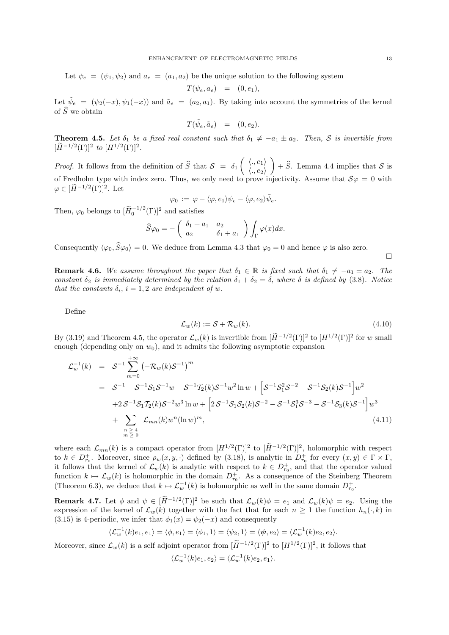Let  $\psi_e = (\psi_1, \psi_2)$  and  $a_e = (a_1, a_2)$  be the unique solution to the following system

$$
T(\psi_e, a_e) = (0, e_1),
$$

Let  $\tilde{\psi}_e = (\psi_2(-x), \psi_1(-x))$  and  $\tilde{a}_e = (a_2, a_1)$ . By taking into account the symmetries of the kernel of  $\widehat{S}$  we obtain

$$
T(\tilde{\psi}_e, \tilde{a}_e) = (0, e_2).
$$

**Theorem 4.5.** Let  $\delta_1$  be a fixed real constant such that  $\delta_1 \neq -a_1 \pm a_2$ . Then, S is invertible from  $[H^{-1/2}(\Gamma)]^2$  to  $[H^{1/2}(\Gamma)]^2$ .

*Proof.* It follows from the definition of  $\hat{S}$  that  $S = \delta_1 \begin{pmatrix} \langle ., e_1 \rangle \\ \langle ., e_2 \rangle \end{pmatrix}$  $\langle ., e_2 \rangle$  $+ \hat{S}$ . Lemma 4.4 implies that S is of Fredholm type with index zero. Thus, we only need to prove injectivity. Assume that  $\mathcal{S}\varphi = 0$  with  $\varphi \in [\widetilde{H}^{-1/2}(\Gamma)]^2$ . Let

$$
\varphi_0\,:=\,\varphi-\langle\varphi,e_1\rangle\psi_e-\langle\varphi,e_2\rangle\tilde\psi_e.
$$

Then,  $\varphi_0$  belongs to  $[\widetilde{H}_0^{-1/2}(\Gamma)]^2$  and satisfies

$$
\widehat{S}\varphi_0 = -\left(\begin{array}{cc} \delta_1 + a_1 & a_2 \\ a_2 & \delta_1 + a_1 \end{array}\right) \int_{\Gamma} \varphi(x) dx.
$$

Consequently  $\langle \varphi_0, \widehat{S}\varphi_0 \rangle = 0$ . We deduce from Lemma 4.3 that  $\varphi_0 = 0$  and hence  $\varphi$  is also zero.

 $\Box$ 

**Remark 4.6.** We assume throughout the paper that  $\delta_1 \in \mathbb{R}$  is fixed such that  $\delta_1 \neq -a_1 \pm a_2$ . The constant  $\delta_2$  is immediately determined by the relation  $\delta_1 + \delta_2 = \delta$ , where  $\delta$  is defined by (3.8). Notice that the constants  $\delta_i$ ,  $i = 1, 2$  are independent of w.

Define

$$
\mathcal{L}_w(k) := \mathcal{S} + \mathcal{R}_w(k). \tag{4.10}
$$

By (3.19) and Theorem 4.5, the operator  $\mathcal{L}_w(k)$  is invertible from  $[\tilde{H}^{-1/2}(\Gamma)]^2$  to  $[H^{1/2}(\Gamma)]^2$  for w small enough (depending only on  $w_0$ ), and it admits the following asymptotic expansion

$$
\mathcal{L}_w^{-1}(k) = S^{-1} \sum_{m=0}^{+\infty} \left( -\mathcal{R}_w(k)S^{-1} \right)^m
$$
  
\n
$$
= S^{-1} - S^{-1}S_1S^{-1}w - S^{-1}T_2(k)S^{-1}w^2 \ln w + \left[ S^{-1}S_1^2S^{-2} - S^{-1}S_2(k)S^{-1} \right]w^2
$$
  
\n
$$
+ 2S^{-1}S_1T_2(k)S^{-2}w^3 \ln w + \left[ 2S^{-1}S_1S_2(k)S^{-2} - S^{-1}S_1^3S^{-3} - S^{-1}S_3(k)S^{-1} \right]w^3
$$
  
\n
$$
+ \sum_{\substack{n \geq 4 \\ m \geq 0}} \mathcal{L}_{mn}(k)w^n (\ln w)^m,
$$
\n(4.11)

where each  $\mathcal{L}_{mn}(k)$  is a compact operator from  $[H^{1/2}(\Gamma)]^2$  to  $[\tilde{H}^{-1/2}(\Gamma)]^2$ , holomorphic with respect to  $k \in D_{r_0}^+$ . Moreover, since  $\rho_w(x, y, \cdot)$  defined by (3.18), is analytic in  $D_{r_0}^+$  for every  $(x, y) \in \overline{\Gamma} \times \overline{\Gamma}$ , it follows that the kernel of  $\mathcal{L}_w(k)$  is analytic with respect to  $k \in D_{r_0}^+$ , and that the operator valued function  $k \mapsto \mathcal{L}_w(k)$  is holomorphic in the domain  $D_{r_0}^+$ . As a consequence of the Steinberg Theorem (Theorem 6.3), we deduce that  $k \mapsto \mathcal{L}_w^{-1}(k)$  is holomorphic as well in the same domain  $D_{r_0}^+$ .

**Remark 4.7.** Let  $\phi$  and  $\psi \in [\widetilde{H}^{-1/2}(\Gamma)]^2$  be such that  $\mathcal{L}_w(k)\phi = e_1$  and  $\mathcal{L}_w(k)\psi = e_2$ . Using the expression of the kernel of  $\mathcal{L}_w(k)$  together with the fact that for each  $n \geq 1$  the function  $h_n(\cdot, k)$  in (3.15) is 4-periodic, we infer that  $\phi_1(x) = \psi_2(-x)$  and consequently

$$
\langle \mathcal{L}_w^{-1}(k)e_1, e_1 \rangle = \langle \phi, e_1 \rangle = \langle \phi_1, 1 \rangle = \langle \psi_2, 1 \rangle = \langle \psi, e_2 \rangle = \langle \mathcal{L}_w^{-1}(k)e_2, e_2 \rangle.
$$

Moreover, since  $\mathcal{L}_w(k)$  is a self adjoint operator from  $[\tilde{H}^{-1/2}(\Gamma)]^2$  to  $[H^{1/2}(\Gamma)]^2$ , it follows that

$$
\langle \mathcal{L}_w^{-1}(k)e_1, e_2 \rangle = \langle \mathcal{L}_w^{-1}(k)e_2, e_1 \rangle.
$$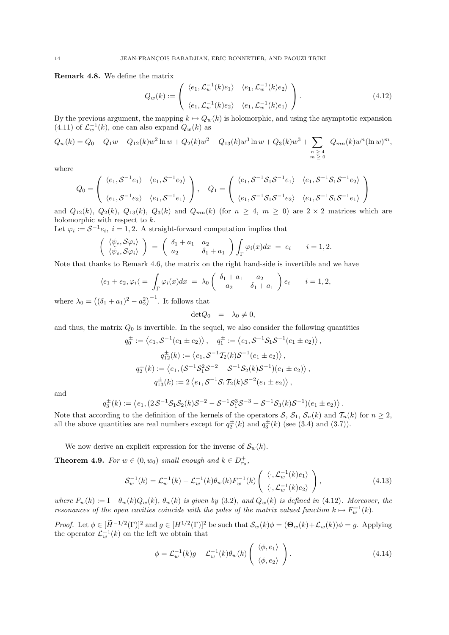Remark 4.8. We define the matrix

$$
Q_w(k) := \begin{pmatrix} \langle e_1, \mathcal{L}_w^{-1}(k)e_1 \rangle & \langle e_1, \mathcal{L}_w^{-1}(k)e_2 \rangle \\ \langle e_1, \mathcal{L}_w^{-1}(k)e_2 \rangle & \langle e_1, \mathcal{L}_w^{-1}(k)e_1 \rangle \end{pmatrix} . \tag{4.12}
$$

By the previous argument, the mapping  $k \mapsto Q_w(k)$  is holomorphic, and using the asymptotic expansion (4.11) of  $\mathcal{L}_w^{-1}(k)$ , one can also expand  $Q_w(k)$  as

$$
Q_w(k) = Q_0 - Q_1 w - Q_{12}(k)w^2 \ln w + Q_2(k)w^2 + Q_{13}(k)w^3 \ln w + Q_3(k)w^3 + \sum_{\substack{n \geq 4 \\ m \geq 0}} Q_{mn}(k)w^n (\ln w)^m,
$$

where

$$
Q_0 = \begin{pmatrix} \langle e_1, \mathcal{S}^{-1}e_1 \rangle & \langle e_1, \mathcal{S}^{-1}e_2 \rangle \\ \langle e_1, \mathcal{S}^{-1}e_2 \rangle & \langle e_1, \mathcal{S}^{-1}e_1 \rangle \end{pmatrix}, \quad Q_1 = \begin{pmatrix} \langle e_1, \mathcal{S}^{-1}\mathcal{S}_1\mathcal{S}^{-1}e_1 \rangle & \langle e_1, \mathcal{S}^{-1}\mathcal{S}_1\mathcal{S}^{-1}e_2 \rangle \\ \langle e_1, \mathcal{S}^{-1}\mathcal{S}_1\mathcal{S}^{-1}e_2 \rangle & \langle e_1, \mathcal{S}^{-1}\mathcal{S}_1\mathcal{S}^{-1}e_1 \rangle \end{pmatrix}
$$

and  $Q_{12}(k)$ ,  $Q_2(k)$ ,  $Q_{13}(k)$ ,  $Q_3(k)$  and  $Q_{mn}(k)$  (for  $n \geq 4$ ,  $m \geq 0$ ) are  $2 \times 2$  matrices which are holomorphic with respect to k.

Let  $\varphi_i := \mathcal{S}^{-1} e_i$ ,  $i = 1, 2$ . A straight-forward computation implies that

$$
\begin{pmatrix}\n\langle \psi_e, \mathcal{S}\varphi_i \rangle \\
\langle \tilde{\psi}_e, \mathcal{S}\varphi_i \rangle\n\end{pmatrix} = \begin{pmatrix}\n\delta_1 + a_1 & a_2 \\
a_2 & \delta_1 + a_1\n\end{pmatrix} \int_{\Gamma} \varphi_i(x) dx = e_i \qquad i = 1, 2.
$$

Note that thanks to Remark 4.6, the matrix on the right hand-side is invertible and we have

$$
\langle e_1 + e_2, \varphi_i \rangle = \int_{\Gamma} \varphi_i(x) dx = \lambda_0 \begin{pmatrix} \delta_1 + a_1 & -a_2 \\ -a_2 & \delta_1 + a_1 \end{pmatrix} e_i \qquad i = 1, 2,
$$

where  $\lambda_0 = ((\delta_1 + a_1)^2 - a_2^2)^{-1}$ . It follows that

$$
\det Q_0 = \lambda_0 \neq 0,
$$

and thus, the matrix  $Q_0$  is invertible. In the sequel, we also consider the following quantities

$$
q_0^{\pm} := \langle e_1, \mathcal{S}^{-1}(e_1 \pm e_2) \rangle, \quad q_1^{\pm} := \langle e_1, \mathcal{S}^{-1}\mathcal{S}_1\mathcal{S}^{-1}(e_1 \pm e_2) \rangle,
$$
  
\n
$$
q_1^{\pm}(k) := \langle e_1, \mathcal{S}^{-1}T_2(k)\mathcal{S}^{-1}(e_1 \pm e_2) \rangle,
$$
  
\n
$$
q_2^{\pm}(k) := \langle e_1, (\mathcal{S}^{-1}\mathcal{S}_1^2\mathcal{S}^{-2} - \mathcal{S}^{-1}\mathcal{S}_2(k)\mathcal{S}^{-1})(e_1 \pm e_2) \rangle,
$$
  
\n
$$
q_1^{\pm}(k) := 2 \langle e_1, \mathcal{S}^{-1}\mathcal{S}_1T_2(k)\mathcal{S}^{-2}(e_1 \pm e_2) \rangle,
$$

and

$$
q_3^{\pm}(k) := \langle e_1, (2S^{-1}S_1S_2(k)S^{-2} - S^{-1}S_1^3S^{-3} - S^{-1}S_3(k)S^{-1})(e_1 \pm e_2) \rangle.
$$

Note that according to the definition of the kernels of the operators  $S$ ,  $S_1$ ,  $S_n(k)$  and  $\mathcal{T}_n(k)$  for  $n \geq 2$ , all the above quantities are real numbers except for  $q_2^{\pm}(k)$  and  $q_3^{\pm}(k)$  (see (3.4) and (3.7)).

We now derive an explicit expression for the inverse of  $\mathcal{S}_w(k)$ .

**Theorem 4.9.** For  $w \in (0, w_0)$  small enough and  $k \in D_{r_0}^+$ ,

$$
\mathcal{S}_w^{-1}(k) = \mathcal{L}_w^{-1}(k) - \mathcal{L}_w^{-1}(k)\theta_w(k)F_w^{-1}(k)\left(\begin{array}{c} \langle \cdot, \mathcal{L}_w^{-1}(k)e_1 \rangle \\ \langle \cdot, \mathcal{L}_w^{-1}(k)e_2 \rangle \end{array}\right),\tag{4.13}
$$

where  $F_w(k) := 1 + \theta_w(k) Q_w(k)$ ,  $\theta_w(k)$  is given by (3.2), and  $Q_w(k)$  is defined in (4.12). Moreover, the resonances of the open cavities coincide with the poles of the matrix valued function  $k \mapsto F_w^{-1}(k)$ .

Proof. Let  $\phi \in [\tilde{H}^{-1/2}(\Gamma)]^2$  and  $g \in [H^{1/2}(\Gamma)]^2$  be such that  $\mathcal{S}_w(k)\phi = (\mathbf{\Theta}_w(k)+\mathcal{L}_w(k))\phi = g$ . Applying the operator  $\mathcal{L}_w^{-1}(k)$  on the left we obtain that

$$
\phi = \mathcal{L}_w^{-1}(k)g - \mathcal{L}_w^{-1}(k)\theta_w(k)\left(\begin{array}{c} \langle \phi, e_1 \rangle \\ \langle \phi, e_2 \rangle \end{array}\right). \tag{4.14}
$$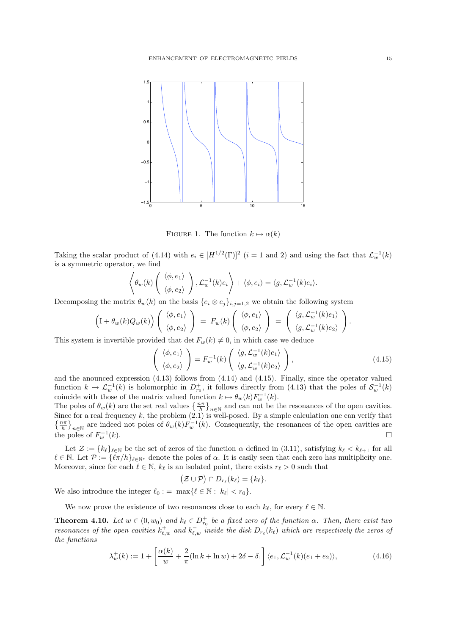

FIGURE 1. The function  $k \mapsto \alpha(k)$ 

Taking the scalar product of (4.14) with  $e_i \in [H^{1/2}(\Gamma)]^2$   $(i = 1 \text{ and } 2)$  and using the fact that  $\mathcal{L}_w^{-1}(k)$ is a symmetric operator, we find

$$
\left\langle \theta_w(k) \left( \begin{array}{c} \langle \phi, e_1 \rangle \\ \langle \phi, e_2 \rangle \end{array} \right), \mathcal{L}_w^{-1}(k) e_i \right\rangle + \left\langle \phi, e_i \right\rangle = \left\langle g, \mathcal{L}_w^{-1}(k) e_i \right\rangle.
$$

Decomposing the matrix  $\theta_w(k)$  on the basis  $\{e_i \otimes e_j\}_{i,j=1,2}$  we obtain the following system

$$
\left(I + \theta_w(k)Q_w(k)\right) \begin{pmatrix} \langle \phi, e_1 \rangle \\ \langle \phi, e_2 \rangle \end{pmatrix} = F_w(k) \begin{pmatrix} \langle \phi, e_1 \rangle \\ \langle \phi, e_2 \rangle \end{pmatrix} = \begin{pmatrix} \langle g, \mathcal{L}_w^{-1}(k)e_1 \rangle \\ \langle g, \mathcal{L}_w^{-1}(k)e_2 \rangle \end{pmatrix}.
$$

This system is invertible provided that det  $F_w(k) \neq 0$ , in which case we deduce

$$
\begin{pmatrix} \langle \phi, e_1 \rangle \\ \langle \phi, e_2 \rangle \end{pmatrix} = F_w^{-1}(k) \begin{pmatrix} \langle g, \mathcal{L}_w^{-1}(k)e_1 \rangle \\ \langle g, \mathcal{L}_w^{-1}(k)e_2 \rangle \end{pmatrix},
$$
(4.15)

and the anounced expression (4.13) follows from (4.14) and (4.15). Finally, since the operator valued function  $k \mapsto \mathcal{L}_{w}^{-1}(k)$  is holomorphic in  $D_{r_0}^+$ , it follows directly from (4.13) that the poles of  $\mathcal{S}_{w}^{-1}(k)$ coincide with those of the matrix valued function  $k \mapsto \theta_w(k) F_w^{-1}(k)$ .

The poles of  $\theta_w(k)$  are the set real values  $\left\{\frac{n\pi}{h}\right\}_{n\in\mathbb{N}}$  and can not be the resonances of the open cavities. Since for a real frequency  $k$ , the problem  $(2.1)$  is well-posed. By a simple calculation one can verify that  $\{\frac{n\pi}{h}\}_{n\in\mathbb{N}}$  are indeed not poles of  $\theta_w(k)F_w^{-1}(k)$ . Consequently, the resonances of the open cavities are the poles of  $F_w^{-1}$  $w^{-1}(k)$ .

Let  $\mathcal{Z} := \{k_\ell\}_{\ell \in \mathbb{N}}$  be the set of zeros of the function  $\alpha$  defined in (3.11), satisfying  $k_\ell < k_{\ell+1}$  for all  $\ell \in \mathbb{N}$ . Let  $\mathcal{P} := {\ell \pi/h}_{\ell \in \mathbb{N}^*}$  denote the poles of  $\alpha$ . It is easily seen that each zero has multiplicity one. Moreover, since for each  $\ell \in \mathbb{N}$ ,  $k_{\ell}$  is an isolated point, there exists  $r_{\ell} > 0$  such that

$$
(\mathcal{Z}\cup \mathcal{P})\cap D_{r_{\ell}}(k_{\ell})=\{k_{\ell}\}.
$$

We also introduce the integer  $\ell_0 := \max\{ \ell \in \mathbb{N} : |k_{\ell}| < r_0 \}.$ 

We now prove the existence of two resonances close to each  $k_{\ell}$ , for every  $\ell \in \mathbb{N}$ .

**Theorem 4.10.** Let  $w \in (0, w_0)$  and  $k_\ell \in D_{r_0}^+$  be a fixed zero of the function  $\alpha$ . Then, there exist two resonances of the open cavities  $k_{\ell,w}^+$  and  $k_{\ell,w}^-$  inside the disk  $D_{r_\ell}(k_\ell)$  which are respectively the zeros of the functions

$$
\lambda_w^+(k) := 1 + \left[ \frac{\alpha(k)}{w} + \frac{2}{\pi} (\ln k + \ln w) + 2\delta - \delta_1 \right] \langle e_1, \mathcal{L}_w^{-1}(k)(e_1 + e_2) \rangle, \tag{4.16}
$$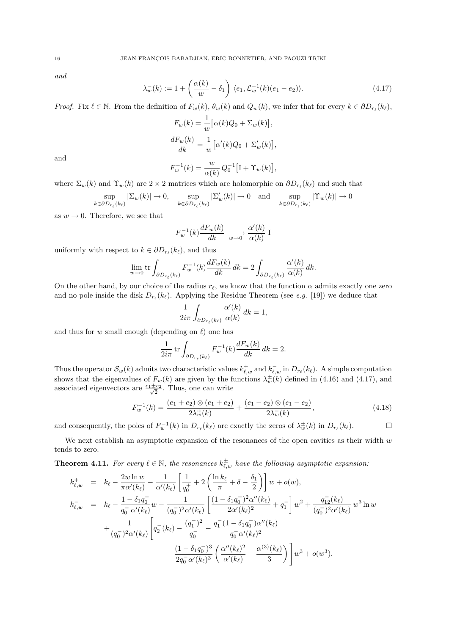and

$$
\lambda_w^-(k) := 1 + \left(\frac{\alpha(k)}{w} - \delta_1\right) \langle e_1, \mathcal{L}_w^{-1}(k)(e_1 - e_2) \rangle. \tag{4.17}
$$

Proof. Fix  $\ell \in \mathbb{N}$ . From the definition of  $F_w(k)$ ,  $\theta_w(k)$  and  $Q_w(k)$ , we infer that for every  $k \in \partial D_{r_\ell}(k_\ell)$ ,

$$
F_w(k) = \frac{1}{w} \Big[ \alpha(k)Q_0 + \Sigma_w(k) \Big],
$$
  

$$
\frac{dF_w(k)}{dk} = \frac{1}{w} \Big[ \alpha'(k)Q_0 + \Sigma'_w(k) \Big],
$$

and

$$
F_w^{-1}(k) = \frac{w}{\alpha(k)} Q_0^{-1} \left[ \mathbf{I} + \Upsilon_w(k) \right],
$$

where  $\Sigma_w(k)$  and  $\Upsilon_w(k)$  are  $2 \times 2$  matrices which are holomorphic on  $\partial D_{r_\ell}(k_\ell)$  and such that

$$
\sup_{\epsilon \partial D_{r_{\ell}}(k_{\ell})} |\Sigma_{w}(k)| \to 0, \quad \sup_{k \in \partial D_{r_{\ell}}(k_{\ell})} |\Sigma_{w}'(k)| \to 0 \quad \text{and} \quad \sup_{k \in \partial D_{r_{\ell}}(k_{\ell})} |\Upsilon_{w}(k)| \to 0
$$

as  $w \to 0$ . Therefore, we see that

 $\mathbf{k}$ 

$$
F_w^{-1}(k)\frac{dF_w(k)}{dk}\xrightarrow[w\to 0]{}\frac{\alpha'(k)}{\alpha(k)}\mathbf{I}
$$

uniformly with respect to  $k \in \partial D_{r_{\ell}}(k_{\ell}),$  and thus

$$
\lim_{w \to 0} \text{tr} \int_{\partial D_{r_{\ell}}(k_{\ell})} F_w^{-1}(k) \frac{dF_w(k)}{dk} dk = 2 \int_{\partial D_{r_{\ell}}(k_{\ell})} \frac{\alpha'(k)}{\alpha(k)} dk.
$$

On the other hand, by our choice of the radius  $r_\ell$ , we know that the function  $\alpha$  admits exactly one zero and no pole inside the disk  $D_{r_{\ell}}(k_{\ell})$ . Applying the Residue Theorem (see e.g. [19]) we deduce that

$$
\frac{1}{2i\pi}\int_{\partial D_{r_\ell}(k_\ell)}\frac{\alpha'(k)}{\alpha(k)}\,dk=1,
$$

and thus for w small enough (depending on  $\ell$ ) one has

$$
\frac{1}{2i\pi} \operatorname{tr} \int_{\partial D_{r_\ell}(k_\ell)} F_w^{-1}(k) \frac{dF_w(k)}{dk} dk = 2.
$$

Thus the operator  $\mathcal{S}_w(k)$  admits two characteristic values  $k_{\ell,w}^+$  and  $k_{\ell,w}^-$  in  $D_{r_\ell}(k_\ell)$ . A simple computation shows that the eigenvalues of  $F_w(k)$  are given by the functions  $\lambda_w^{\pm}(k)$  defined in (4.16) and (4.17), and associated eigenvectors are  $\frac{e_1 \pm e_2}{\sqrt{2}}$  $\frac{2e_2}{2}$ . Thus, one can write

$$
F_w^{-1}(k) = \frac{(e_1 + e_2) \otimes (e_1 + e_2)}{2\lambda_w^+(k)} + \frac{(e_1 - e_2) \otimes (e_1 - e_2)}{2\lambda_w^-(k)},
$$
(4.18)

and consequently, the poles of  $F_w^{-1}(k)$  in  $D_{r_\ell}(k_\ell)$  are exactly the zeros of  $\lambda_w^{\pm}(k)$  in  $D_{r_\ell}(k_\ell)$ .

We next establish an asymptotic expansion of the resonances of the open cavities as their width  $w$ tends to zero.

**Theorem 4.11.** For every  $\ell \in \mathbb{N}$ , the resonances  $k_{\ell,w}^{\pm}$  have the following asymptotic expansion:

$$
k_{\ell,w}^+ = k_{\ell} - \frac{2w \ln w}{\pi \alpha'(k_{\ell})} - \frac{1}{\alpha'(k_{\ell})} \left[ \frac{1}{q_0^+} + 2 \left( \frac{\ln k_{\ell}}{\pi} + \delta - \frac{\delta_1}{2} \right) \right] w + o(w),
$$
  
\n
$$
k_{\ell,w}^- = k_{\ell} - \frac{1 - \delta_1 q_0^-}{q_0^- \alpha'(k_{\ell})} w - \frac{1}{(q_0^-)^2 \alpha'(k_{\ell})} \left[ \frac{(1 - \delta_1 q_0^-)^2 \alpha''(k_{\ell})}{2 \alpha'(k_{\ell})^2} + q_1^- \right] w^2 + \frac{q_{12}^- (k_{\ell})}{(q_0^-)^2 \alpha'(k_{\ell})} w^3 \ln w
$$
  
\n
$$
+ \frac{1}{(q_0^-)^2 \alpha'(k_{\ell})} \left[ q_2^- (k_{\ell}) - \frac{(q_1^-)^2}{q_0^-} - \frac{q_1^- (1 - \delta_1 q_0^-) \alpha''(k_{\ell})}{q_0^- \alpha'(k_{\ell})^2} - \frac{(1 - \delta_1 q_0^-)^3}{2q_0^- \alpha'(k_{\ell})^3} \left( \frac{\alpha''(k_{\ell})^2}{\alpha'(k_{\ell})} - \frac{\alpha^{(3)}(k_{\ell})}{3} \right) \right] w^3 + o(w^3).
$$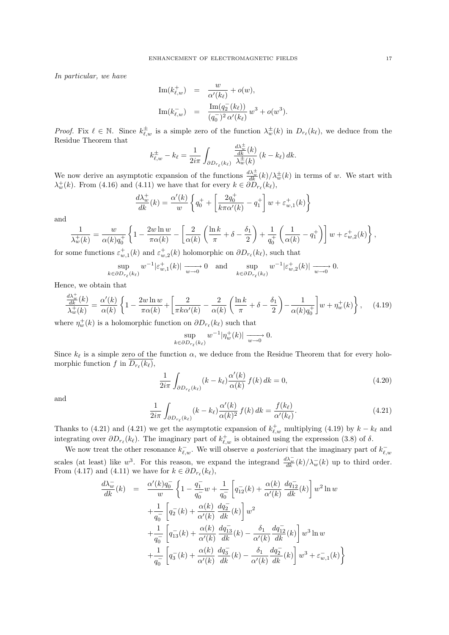In particular, we have

Im(
$$
k_{\ell,w}^+
$$
) =  $\frac{w}{\alpha'(k_{\ell})} + o(w)$ ,  
\nIm( $k_{\ell,w}^-$ ) =  $\frac{\text{Im}(q_2^-(k_{\ell}))}{(q_0^-)^2 \alpha'(k_{\ell})} w^3 + o(w^3)$ .

*Proof.* Fix  $\ell \in \mathbb{N}$ . Since  $k_{\ell,w}^{\pm}$  is a simple zero of the function  $\lambda_w^{\pm}(k)$  in  $D_{r_{\ell}}(k_{\ell})$ , we deduce from the Residue Theorem that

$$
k_{\ell,w}^{\pm} - k_{\ell} = \frac{1}{2i\pi} \int_{\partial D_{r_{\ell}}(k_{\ell})} \frac{\frac{d\lambda_w^{\pm}}{dk}(k)}{\lambda_w^{\pm}(k)} (k - k_{\ell}) dk.
$$

We now derive an asymptotic expansion of the functions  $\frac{d\lambda_w^{\pm}}{dk}(k)/\lambda_w^{\pm}(k)$  in terms of w. We start with  $\lambda_w^+(k)$ . From (4.16) and (4.11) we have that for every  $k \in \partial D_{r_\ell}(k_\ell)$ ,

$$
\frac{d\lambda_w^+}{dk}(k) = \frac{\alpha'(k)}{w} \left\{ q_0^+ + \left[ \frac{2q_0^+}{k\pi\alpha'(k)} - q_1^+ \right] w + \varepsilon_{w,1}^+(k) \right\}
$$

and

$$
\frac{1}{\lambda_w^+(k)} = \frac{w}{\alpha(k)q_0^+} \left\{ 1 - \frac{2w\ln w}{\pi \alpha(k)} - \left[ \frac{2}{\alpha(k)} \left( \frac{\ln k}{\pi} + \delta - \frac{\delta_1}{2} \right) + \frac{1}{q_0^+} \left( \frac{1}{\alpha(k)} - q_1^+ \right) \right] w + \varepsilon_{w,2}^+(k) \right\},
$$

for some functions  $\varepsilon_{w,1}^+(k)$  and  $\varepsilon_{w,2}^+(k)$  holomorphic on  $\partial D_{r_\ell}(k_\ell)$ , such that

$$
\sup_{k \in \partial D_{r_{\ell}}(k_{\ell})} w^{-1} |\varepsilon_{w,1}^{+}(k)| \xrightarrow[w \to 0]{} 0 \quad \text{and} \quad \sup_{k \in \partial D_{r_{\ell}}(k_{\ell})} w^{-1} |\varepsilon_{w,2}^{+}(k)| \xrightarrow[w \to 0]{} 0.
$$

Hence, we obtain that

$$
\frac{\frac{d\lambda_w^+}{dk}(k)}{\lambda_w^+(k)} = \frac{\alpha'(k)}{\alpha(k)} \left\{ 1 - \frac{2w\ln w}{\pi\alpha(k)} + \left[ \frac{2}{\pi k\alpha'(k)} - \frac{2}{\alpha(k)} \left( \frac{\ln k}{\pi} + \delta - \frac{\delta_1}{2} \right) - \frac{1}{\alpha(k)q_0^+} \right] w + \eta_w^+(k) \right\},\tag{4.19}
$$

where  $\eta_w^+(k)$  is a holomorphic function on  $\partial D_{r_\ell}(k_\ell)$  such that

$$
\sup_{k \in \partial D_{r_{\ell}}(k_{\ell})} w^{-1} |\eta_w^+(k)| \xrightarrow[w \to 0]{} 0.
$$

Since  $k_{\ell}$  is a simple zero of the function  $\alpha$ , we deduce from the Residue Theorem that for every holomorphic function  $f$  in  $D_{r_{\ell}}(k_{\ell}),$ 

$$
\frac{1}{2i\pi} \int_{\partial D_{r_{\ell}}(k_{\ell})} (k - k_{\ell}) \frac{\alpha'(k)}{\alpha(k)} f(k) dk = 0,
$$
\n(4.20)

and

$$
\frac{1}{2i\pi} \int_{\partial D_{r_{\ell}}(k_{\ell})} (k - k_{\ell}) \frac{\alpha'(k)}{\alpha(k)^2} f(k) dk = \frac{f(k_{\ell})}{\alpha'(k_{\ell})}.
$$
\n(4.21)

Thanks to (4.21) and (4.21) we get the asymptotic expansion of  $k_{\ell,w}^+$  multiplying (4.19) by  $k - k_{\ell}$  and integrating over  $\partial D_{r_\ell}(k_\ell)$ . The imaginary part of  $k_{\ell,w}^+$  is obtained using the expression (3.8) of  $\delta$ .

We now treat the other resonance  $k_{\ell,w}^-$ . We will observe a posteriori that the imaginary part of  $k_{\ell,w}^$ scales (at least) like w<sup>3</sup>. For this reason, we expand the integrand  $\frac{d\lambda_w^-}{dk}(k)/\lambda_w^-(k)$  up to third order. From (4.17) and (4.11) we have for  $k \in \partial D_{r_{\ell}}(k_{\ell}),$ 

$$
\frac{d\lambda_w^-}{dk}(k) = \frac{\alpha'(k)q_0^-}{w} \left\{ 1 - \frac{q_1^-}{q_0^-} w + \frac{1}{q_0^-} \left[ q_{12}^-(k) + \frac{\alpha(k)}{\alpha'(k)} \frac{dq_{12}^-}{dk}(k) \right] w^2 \ln w + \frac{1}{q_0^-} \left[ q_2^-(k) + \frac{\alpha(k)}{\alpha'(k)} \frac{dq_2^-}{dk}(k) \right] w^2 + \frac{1}{q_0^-} \left[ q_{13}^-(k) + \frac{\alpha(k)}{\alpha'(k)} \frac{dq_{13}^-}{dk}(k) - \frac{\delta_1}{\alpha'(k)} \frac{dq_{12}^-}{dk}(k) \right] w^3 \ln w + \frac{1}{q_0^-} \left[ q_3^-(k) + \frac{\alpha(k)}{\alpha'(k)} \frac{dq_3^-}{dk}(k) - \frac{\delta_1}{\alpha'(k)} \frac{dq_2^-}{dk}(k) \right] w^3 + \varepsilon_{w,1}^-(k) \right\}
$$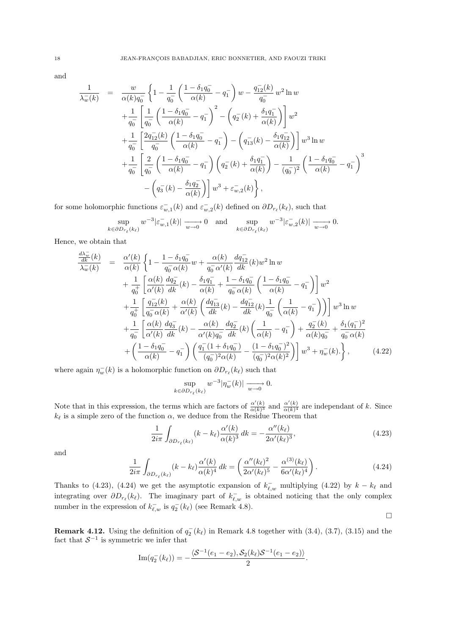and

$$
\frac{1}{\lambda_{w}^{-}(k)} = \frac{w}{\alpha(k)q_{0}^{-}} \left\{ 1 - \frac{1}{q_{0}^{-}} \left( \frac{1 - \delta_{1}q_{0}^{-}}{\alpha(k)} - q_{1}^{-} \right) w - \frac{q_{12}^{-}(k)}{q_{0}^{-}} w^{2} \ln w + \frac{1}{q_{0}^{-}} \left[ \frac{1}{q_{0}^{-}} \left( \frac{1 - \delta_{1}q_{0}^{-}}{\alpha(k)} - q_{1}^{-} \right)^{2} - \left( q_{2}^{-}(k) + \frac{\delta_{1}q_{1}^{-}}{\alpha(k)} \right) \right] w^{2} + \frac{1}{q_{0}^{-}} \left[ \frac{2q_{12}^{-}(k)}{q_{0}^{-}} \left( \frac{1 - \delta_{1}q_{0}^{-}}{\alpha(k)} - q_{1}^{-} \right) - \left( q_{13}^{-}(k) - \frac{\delta_{1}q_{12}^{-}}{\alpha(k)} \right) \right] w^{3} \ln w + \frac{1}{q_{0}^{-}} \left[ \frac{2}{q_{0}^{-}} \left( \frac{1 - \delta_{1}q_{0}^{-}}{\alpha(k)} - q_{1}^{-} \right) \left( q_{2}^{-}(k) + \frac{\delta_{1}q_{1}^{-}}{\alpha(k)} \right) - \frac{1}{(q_{0}^{-})^{2}} \left( \frac{1 - \delta_{1}q_{0}^{-}}{\alpha(k)} - q_{1}^{-} \right)^{3} - \left( q_{3}^{-}(k) - \frac{\delta_{1}q_{2}^{-}}{\alpha(k)} \right) \right] w^{3} + \varepsilon_{w,2}^{-}(k) \right\},
$$

for some holomorphic functions  $\varepsilon_{w,1}^-(k)$  and  $\varepsilon_{w,2}^-(k)$  defined on  $\partial D_{r_\ell}(k_\ell)$ , such that

$$
\sup_{k \in \partial D_{r_{\ell}}(k_{\ell})} w^{-3} |\varepsilon_{w,1}^{-}(k)| \xrightarrow[w \to 0]{} 0 \quad \text{and} \quad \sup_{k \in \partial D_{r_{\ell}}(k_{\ell})} w^{-3} |\varepsilon_{w,2}^{-}(k)| \xrightarrow[w \to 0]{} 0.
$$

Hence, we obtain that

$$
\frac{\frac{d\lambda_{w}^{-}}{dk}(k)}{\lambda_{w}^{-}(k)} = \frac{\alpha'(k)}{\alpha(k)} \left\{ 1 - \frac{1 - \delta_{1}q_{0}^{-}}{q_{0}^{-}\alpha(k)} w + \frac{\alpha(k)}{q_{0}^{-}\alpha'(k)} \frac{dq_{12}^{-}}{dk}(k) w^{2} \ln w + \frac{1}{q_{0}^{+}} \left[ \frac{\alpha(k)}{\alpha'(k)} \frac{dq_{2}^{-}}{dk}(k) - \frac{\delta_{1}q_{1}^{-}}{\alpha(k)} + \frac{1 - \delta_{1}q_{0}^{-}}{q_{0}^{-}\alpha(k)} \left( \frac{1 - \delta_{1}q_{0}^{-}}{\alpha(k)} - q_{1}^{-} \right) \right] w^{2} + \frac{1}{q_{0}^{+}} \left[ \frac{q_{12}^{-}(k)}{q_{0}^{-}\alpha(k)} + \frac{\alpha(k)}{\alpha'(k)} \left( \frac{dq_{13}^{-}}{dk}(k) - \frac{dq_{12}^{-}}{dk}(k) \frac{1}{q_{0}^{-}} \left( \frac{1}{\alpha(k)} - q_{1}^{-} \right) \right) \right] w^{3} \ln w + \frac{1}{q_{0}^{-}} \left[ \frac{\alpha(k)}{\alpha'(k)} \frac{dq_{3}^{-}}{dk}(k) - \frac{\alpha(k)}{\alpha'(k)q_{0}^{-}} \frac{dq_{2}^{-}}{dk}(k) \left( \frac{1}{\alpha(k)} - q_{1}^{-} \right) + \frac{q_{2}^{-}(k)}{\alpha(k)q_{0}^{-}} + \frac{\delta_{1}(q_{1}^{-})^{2}}{q_{0}^{-}\alpha(k)} + \left( \frac{1 - \delta_{1}q_{0}^{-}}{\alpha(k)} - q_{1}^{-} \right) \left( \frac{q_{1}^{-}(1 + \delta_{1}q_{0}^{-})}{(q_{0}^{-})^{2}\alpha(k)} - \frac{(1 - \delta_{1}q_{0}^{-})^{2}}{(q_{0}^{-})^{2}\alpha(k)^{2}} \right) \right] w^{3} + \eta_{w}^{-}(k). \right\}, \tag{4.22}
$$

where again  $\eta_w^-(k)$  is a holomorphic function on  $\partial D_{r_\ell}(k_\ell)$  such that

$$
\sup_{k \in \partial D_{r_{\ell}}(k_{\ell})} w^{-3} |\eta_w^-(k)| \xrightarrow[w \to 0]{} 0.
$$

Note that in this expression, the terms which are factors of  $\frac{\alpha'(k)}{\alpha(k)^3}$  $\frac{\alpha'(k)}{\alpha(k)^3}$  and  $\frac{\alpha'(k)}{\alpha(k)^4}$  $\frac{\alpha(k)}{\alpha(k)^4}$  are independant of k. Since  $k_{\ell}$  is a simple zero of the function  $\alpha$ , we deduce from the Residue Theorem that

$$
\frac{1}{2i\pi} \int_{\partial D_{r_{\ell}}(k_{\ell})} (k - k_{\ell}) \frac{\alpha'(k)}{\alpha(k)^3} dk = -\frac{\alpha''(k_{\ell})}{2\alpha'(k_{\ell})^3},\tag{4.23}
$$

and

$$
\frac{1}{2i\pi} \int_{\partial D_{r_{\ell}}(k_{\ell})} (k - k_{\ell}) \frac{\alpha'(k)}{\alpha(k)^4} dk = \left( \frac{\alpha''(k_{\ell})^2}{2\alpha'(k_{\ell})^5} - \frac{\alpha^{(3)}(k_{\ell})}{6\alpha'(k_{\ell})^4} \right). \tag{4.24}
$$

Thanks to (4.23), (4.24) we get the asymptotic expansion of  $k_{\ell,w}^-$  multiplying (4.22) by  $k - k_{\ell}$  and integrating over  $\partial D_{r_\ell}(k_\ell)$ . The imaginary part of  $k_{\ell,w}^-$  is obtained noticing that the only complex number in the expression of  $k_{\ell,w}^-$  is  $q_2^-(k_\ell)$  (see Remark 4.8).  $\Box$ 

**Remark 4.12.** Using the definition of  $q_2^-(k_\ell)$  in Remark 4.8 together with (3.4), (3.7), (3.15) and the fact that  $S^{-1}$  is symmetric we infer that

Im
$$
(q_2^-(k_\ell)) = -\frac{\langle S^{-1}(e_1 - e_2), S_2(k_\ell)S^{-1}(e_1 - e_2) \rangle}{2}
$$
.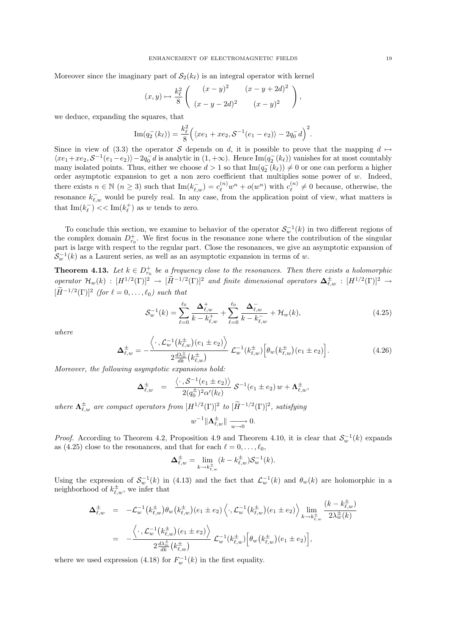Moreover since the imaginary part of  $S_2(k_\ell)$  is an integral operator with kernel

$$
(x,y) \mapsto \frac{k_{\ell}^2}{8} \left( \begin{array}{cc} (x-y)^2 & (x-y+2d)^2 \\ (x-y-2d)^2 & (x-y)^2 \end{array} \right),
$$

we deduce, expanding the squares, that

Im
$$
(q_2^-(k_\ell)) = \frac{k_\ell^2}{8} ((xe_1 + xe_2, S^{-1}(e_1 - e_2)) - 2q_0^- d)^2
$$
.

Since in view of (3.3) the operator S depends on d, it is possible to prove that the mapping  $d \mapsto$  $\langle xe_1+xe_2, \mathcal{S}^{-1}(e_1-e_2)\rangle-2q_0^-d$  is analytic in  $(1, +\infty)$ . Hence  $\text{Im}(q_2^-(k_\ell))$  vanishes for at most countably many isolated points. Thus, either we choose  $d > 1$  so that  $\text{Im}(q_2(\overline{k_\ell})) \neq 0$  or one can perform a higher order asymptotic expansion to get a non zero coefficient that multiplies some power of  $w$ . Indeed, there exists  $n \in \mathbb{N}$   $(n \ge 3)$  such that  $\text{Im}(k_{\ell,w}^-) = c_{\ell}^{(n)}w^n + o(w^n)$  with  $c_{\ell}^{(n)}$  $\mathcal{L}_{\ell}^{(n)} \neq 0$  because, otherwise, the resonance  $k_{\ell,w}^-$  would be purely real. In any case, from the application point of view, what matters is that  $\text{Im}(k_{\ell}^-) \ll \text{Im}(k_{\ell}^+)$  as w tends to zero.

To conclude this section, we examine to behavior of the operator  $\mathcal{S}_{w}^{-1}(k)$  in two different regions of the complex domain  $D_{r_0}^+$ . We first focus in the resonance zone where the contribution of the singular part is large with respect to the regular part. Close the resonances, we give an asymptotic expansion of  $S_w^{-1}(k)$  as a Laurent series, as well as an asymptotic expansion in terms of w.

**Theorem 4.13.** Let  $k \in D_{r_0}^+$  be a frequency close to the resonances. Then there exists a holomorphic  $\mathcal{O}$  operator  $\mathcal{H}_w(k) : [H^{1/2}(\Gamma)]^2 \to [\widetilde{H}^{-1/2}(\Gamma)]^2$  and finite dimensional operators  $\Delta_{\ell,w}^{\pm} : [H^{1/2}(\Gamma)]^2 \to \infty$  $[\tilde{H}^{-1/2}(\Gamma)]^2$  (for  $\ell = 0, \ldots, \ell_0$ ) such that

$$
\mathcal{S}_{w}^{-1}(k) = \sum_{\ell=0}^{\ell_0} \frac{\Delta_{\ell,w}^+}{k - k_{\ell,w}^+} + \sum_{\ell=0}^{\ell_0} \frac{\Delta_{\ell,w}^-}{k - k_{\ell,w}^-} + \mathcal{H}_w(k),\tag{4.25}
$$

where

$$
\Delta_{\ell,w}^{\pm} = -\frac{\langle \cdot, \mathcal{L}_w^{-1}(k_{\ell,w}^{\pm})(e_1 \pm e_2) \rangle}{2 \frac{d \lambda_w^{\pm}}{dk} (k_{\ell,w}^{\pm})} \mathcal{L}_w^{-1}(k_{\ell,w}^{\pm}) \Big[ \theta_w(k_{\ell,w}^{\pm})(e_1 \pm e_2) \Big]. \tag{4.26}
$$

Moreover, the following asymptotic expansions hold:

$$
\Delta_{\ell,w}^{\pm} = \frac{\langle \cdot, \mathcal{S}^{-1}(e_1 \pm e_2) \rangle}{2(q_0^{\pm})^2 \alpha'(k_{\ell})} \, \mathcal{S}^{-1}(e_1 \pm e_2) \, w + \Lambda_{\ell,w}^{\pm},
$$

where  $\Lambda_{\ell,w}^{\pm}$  are compact operators from  $[H^{1/2}(\Gamma)]^2$  to  $[\widetilde{H}^{-1/2}(\Gamma)]^2$ , satisfying

$$
w^{-1} \|\Lambda_{\ell,w}^{\pm}\| \xrightarrow[w \to 0]{} 0.
$$

*Proof.* According to Theorem 4.2, Proposition 4.9 and Theorem 4.10, it is clear that  $S_w^{-1}(k)$  expands as (4.25) close to the resonances, and that for each  $\ell = 0, \ldots, \ell_0$ ,

$$
\mathbf{\Delta}_{\ell,w}^{\pm} = \lim_{k \to k_{\ell,w}^{\pm}} (k - k_{\ell,w}^{\pm}) \mathcal{S}_w^{-1}(k).
$$

Using the expression of  $S_w^{-1}(k)$  in (4.13) and the fact that  $\mathcal{L}_w^{-1}(k)$  and  $\theta_w(k)$  are holomorphic in a neighborhood of  $k_{\ell,w}^{\pm}$ , we infer that

$$
\Delta_{\ell,w}^{\pm} = -\mathcal{L}_w^{-1}(k_{\ell,w}^{\pm})\theta_w(k_{\ell,w}^{\pm})(e_1 \pm e_2) \Big\langle \cdot, \mathcal{L}_w^{-1}(k_{\ell,w}^{\pm})(e_1 \pm e_2) \Big\rangle \lim_{k \to k_{\ell,w}^{\pm}} \frac{(k - k_{\ell,w}^{\pm})}{2\lambda_w^{\pm}(k)} \n= -\frac{\Big\langle \cdot, \mathcal{L}_w^{-1}(k_{\ell,w}^{\pm})(e_1 \pm e_2) \Big\rangle}{2\frac{d\lambda_w^{\pm}}{dk}(k_{\ell,w}^{\pm})} \mathcal{L}_w^{-1}(k_{\ell,w}^{\pm}) \Big[\theta_w(k_{\ell,w}^{\pm})(e_1 \pm e_2) \Big],
$$

where we used expression (4.18) for  $F_w^{-1}(k)$  in the first equality.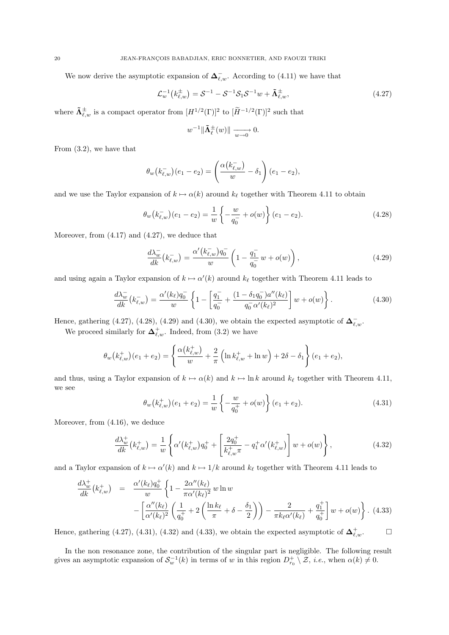We now derive the asymptotic expansion of  $\Delta^-_{\ell,w}$ . According to (4.11) we have that

$$
\mathcal{L}_{w}^{-1}(k_{\ell,w}^{\pm}) = \mathcal{S}^{-1} - \mathcal{S}^{-1}\mathcal{S}_{1}\mathcal{S}^{-1}w + \tilde{\Lambda}_{\ell,w}^{\pm},\tag{4.27}
$$

where  $\tilde{\mathbf{\Lambda}}_{\ell,w}^{\pm}$  is a compact operator from  $[H^{1/2}(\Gamma)]^2$  to  $[\widetilde{H}^{-1/2}(\Gamma)]^2$  such that

$$
w^{-1} \|\tilde{\mathbf{\Lambda}}_{\ell}^{\pm}(w)\| \xrightarrow[w \to 0]{} 0.
$$

From (3.2), we have that

$$
\theta_w(k_{\ell,w}^-)(e_1 - e_2) = \left(\frac{\alpha(k_{\ell,w}^-)}{w} - \delta_1\right)(e_1 - e_2),
$$

and we use the Taylor expansion of  $k \mapsto \alpha(k)$  around  $k_{\ell}$  together with Theorem 4.11 to obtain

$$
\theta_w(k_{\ell,w}^-(e_1 - e_2) = \frac{1}{w} \left\{ -\frac{w}{q_0} + o(w) \right\} (e_1 - e_2).
$$
\n(4.28)

Moreover, from (4.17) and (4.27), we deduce that

$$
\frac{d\lambda_w^-}{dk}(k_{\ell,w}^-) = \frac{\alpha'(k_{\ell,w}^-)q_0^-}{w} \left(1 - \frac{q_1^-}{q_0^-}w + o(w)\right),\tag{4.29}
$$

and using again a Taylor expansion of  $k \mapsto \alpha'(k)$  around  $k_{\ell}$  together with Theorem 4.11 leads to

$$
\frac{d\lambda_w^-}{dk}(k_{\ell,w}^-) = \frac{\alpha'(k_{\ell})q_0^-}{w} \left\{ 1 - \left[ \frac{q_1^-}{q_0^-} + \frac{(1 - \delta_1 q_0^-)a''(k_{\ell})}{q_0^- \alpha'(k_{\ell})^2} \right] w + o(w) \right\}.
$$
\n(4.30)

Hence, gathering (4.27), (4.28), (4.29) and (4.30), we obtain the expected asymptotic of  $\Delta_{\ell,w}^-$ .

We proceed similarly for  $\Delta^+_{\ell,w}$ . Indeed, from (3.2) we have

$$
\theta_w(k_{\ell,w}^+)(e_1+e_2) = \left\{ \frac{\alpha(k_{\ell,w}^+)}{w} + \frac{2}{\pi} \left( \ln k_{\ell,w}^+ + \ln w \right) + 2\delta - \delta_1 \right\} (e_1+e_2),
$$

and thus, using a Taylor expansion of  $k \mapsto \alpha(k)$  and  $k \mapsto \ln k$  around  $k_{\ell}$  together with Theorem 4.11, we see

$$
\theta_w(k_{\ell,w}^+)(e_1+e_2) = \frac{1}{w} \left\{-\frac{w}{q_0^+} + o(w)\right\} (e_1+e_2).
$$
\n(4.31)

Moreover, from (4.16), we deduce

$$
\frac{d\lambda_w^+}{dk}(k_{\ell,w}^+) = \frac{1}{w} \left\{ \alpha'(k_{\ell,w}^+) q_0^+ + \left[ \frac{2q_0^+}{k_{\ell,w}^+ \pi} - q_1^+ \alpha'(k_{\ell,w}^+) \right] w + o(w) \right\},\tag{4.32}
$$

and a Taylor expansion of  $k \mapsto \alpha'(k)$  and  $k \mapsto 1/k$  around  $k_{\ell}$  together with Theorem 4.11 leads to

$$
\frac{d\lambda_w^+}{dk}(k_{\ell,w}^+) = \frac{\alpha'(k_{\ell})q_0^+}{w} \left\{ 1 - \frac{2\alpha''(k_{\ell})}{\pi\alpha'(k_{\ell})^2} w \ln w - \left[ \frac{\alpha''(k_{\ell})}{\alpha'(k_{\ell})^2} \left( \frac{1}{q_0^+} + 2 \left( \frac{\ln k_{\ell}}{\pi} + \delta - \frac{\delta_1}{2} \right) \right) - \frac{2}{\pi k_{\ell}\alpha'(k_{\ell})} + \frac{q_1^+}{q_0^+} \right] w + o(w) \right\}.
$$
 (4.33)

Hence, gathering (4.27), (4.31), (4.32) and (4.33), we obtain the expected asymptotic of  $\Delta^+_{\ell,w}$ .

In the non resonance zone, the contribution of the singular part is negligible. The following result gives an asymptotic expansion of  $S_w^{-1}(k)$  in terms of w in this region  $D_{r_0}^+\setminus\mathcal{Z}$ , *i.e.*, when  $\alpha(k)\neq 0$ .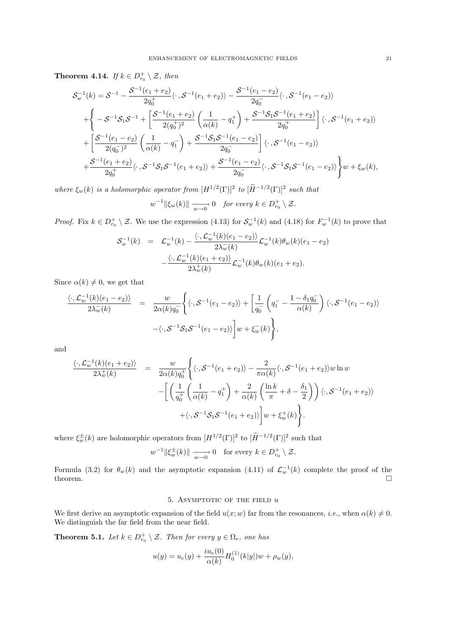**Theorem 4.14.** If  $k \in D_{r_0}^+ \setminus \mathcal{Z}$ , then

$$
\mathcal{S}_{w}^{-1}(k) = \mathcal{S}^{-1} - \frac{\mathcal{S}^{-1}(e_{1} + e_{2})}{2q_{0}^{+}} \langle \cdot, \mathcal{S}^{-1}(e_{1} + e_{2}) \rangle - \frac{\mathcal{S}^{-1}(e_{1} - e_{2})}{2q_{0}^{-}} \langle \cdot, \mathcal{S}^{-1}(e_{1} - e_{2}) \rangle \n+ \left\{ -\mathcal{S}^{-1}\mathcal{S}_{1}\mathcal{S}^{-1} + \left[ \frac{\mathcal{S}^{-1}(e_{1} + e_{2})}{2(q_{0}^{+})^{2}} \left( \frac{1}{\alpha(k)} - q_{1}^{+} \right) + \frac{\mathcal{S}^{-1}\mathcal{S}_{1}\mathcal{S}^{-1}(e_{1} + e_{2})}{2q_{0}^{+}} \right] \langle \cdot, \mathcal{S}^{-1}(e_{1} + e_{2}) \rangle \n+ \left[ \frac{\mathcal{S}^{-1}(e_{1} - e_{2})}{2(q_{0}^{-})^{2}} \left( \frac{1}{\alpha(k)} - q_{1}^{-} \right) + \frac{\mathcal{S}^{-1}\mathcal{S}_{1}\mathcal{S}^{-1}(e_{1} - e_{2})}{2q_{0}^{-}} \right] \langle \cdot, \mathcal{S}^{-1}(e_{1} - e_{2}) \rangle \n+ \frac{\mathcal{S}^{-1}(e_{1} + e_{2})}{2q_{0}^{+}} \langle \cdot, \mathcal{S}^{-1}\mathcal{S}_{1}\mathcal{S}^{-1}(e_{1} + e_{2}) \rangle + \frac{\mathcal{S}^{-1}(e_{1} - e_{2})}{2q_{0}^{-}} \langle \cdot, \mathcal{S}^{-1}\mathcal{S}_{1}\mathcal{S}^{-1}(e_{1} - e_{2}) \rangle \right\} w + \xi_{w}(k),
$$

where  $\xi_w(k)$  is a holomorphic operator from  $[H^{1/2}(\Gamma)]^2$  to  $[\widetilde{H}^{-1/2}(\Gamma)]^2$  such that

$$
w^{-1} \|\xi_w(k)\| \xrightarrow[w \to 0]{} 0 \quad \text{for every } k \in D_{r_0}^+ \setminus \mathcal{Z}.
$$

*Proof.* Fix  $k \in D_{r_0}^+ \setminus \mathcal{Z}$ . We use the expression (4.13) for  $S_w^{-1}(k)$  and (4.18) for  $F_w^{-1}(k)$  to prove that

$$
\mathcal{S}_{w}^{-1}(k) = \mathcal{L}_{w}^{-1}(k) - \frac{\langle \cdot, \mathcal{L}_{w}^{-1}(k)(e_1 - e_2) \rangle}{2\lambda_{w}^{-}(k)} \mathcal{L}_{w}^{-1}(k)\theta_{w}(k)(e_1 - e_2)
$$

$$
- \frac{\langle \cdot, \mathcal{L}_{w}^{-1}(k)(e_1 + e_2) \rangle}{2\lambda_{w}^{+}(k)} \mathcal{L}_{w}^{-1}(k)\theta_{w}(k)(e_1 + e_2).
$$

Since  $\alpha(k) \neq 0$ , we get that

$$
\frac{\langle \cdot, \mathcal{L}_w^{-1}(k)(e_1 - e_2) \rangle}{2\lambda_w^-(k)} = \frac{w}{2\alpha(k)q_0} \left\{ \langle \cdot, \mathcal{S}^{-1}(e_1 - e_2) \rangle + \left[ \frac{1}{q_0} \left( q_1^- - \frac{1 - \delta_1 q_0^-}{\alpha(k)} \right) \langle \cdot, \mathcal{S}^{-1}(e_1 - e_2) \rangle \right] - \langle \cdot, \mathcal{S}^{-1} \mathcal{S}_1 \mathcal{S}^{-1}(e_1 - e_2) \rangle \right\} w + \xi_w^-(k) \right\},
$$

and

$$
\frac{\langle \cdot, \mathcal{L}_w^{-1}(k)(e_1 + e_2) \rangle}{2\lambda_w^+(k)} = \frac{w}{2\alpha(k)q_0^+} \Biggl\{ \langle \cdot, \mathcal{S}^{-1}(e_1 + e_2) \rangle - \frac{2}{\pi \alpha(k)} \langle \cdot, \mathcal{S}^{-1}(e_1 + e_2) \rangle w \ln w - \Biggl[ \left( \frac{1}{q_0^+} \left( \frac{1}{\alpha(k)} - q_1^+ \right) + \frac{2}{\alpha(k)} \left( \frac{\ln k}{\pi} + \delta - \frac{\delta_1}{2} \right) \right) \langle \cdot, \mathcal{S}^{-1}(e_1 + e_2) \rangle + \langle \cdot, \mathcal{S}^{-1} \mathcal{S}_1 \mathcal{S}^{-1}(e_1 + e_2) \rangle \Biggr] w + \xi_w^+(k) \Biggr\}.
$$

where  $\xi_w^{\pm}(k)$  are holomorphic operators from  $[H^{1/2}(\Gamma)]^2$  to  $[\widetilde{H}^{-1/2}(\Gamma)]^2$  such that

 $w^{-1} \|\xi_w^{\pm}(k)\| \xrightarrow[w \to 0]{} 0 \text{ for every } k \in D_{r_0}^+ \setminus \mathcal{Z}.$ 

Formula (3.2) for  $\theta_w(k)$  and the asymptotic expansion (4.11) of  $\mathcal{L}_w^{-1}(k)$  complete the proof of the theorem.

### 5. ASYMPTOTIC OF THE FIELD  $u$

We first derive an asymptotic expansion of the field  $u(x; w)$  far from the resonances, *i.e.*, when  $\alpha(k) \neq 0$ . We distinguish the far field from the near field.

**Theorem 5.1.** Let  $k \in D_{r_0}^+ \setminus \mathcal{Z}$ . Then for every  $y \in \Omega_e$ , one has

$$
u(y) = u_e(y) + \frac{iu_e(0)}{\alpha(k)} H_0^{(1)}(k|y|)w + \rho_w(y),
$$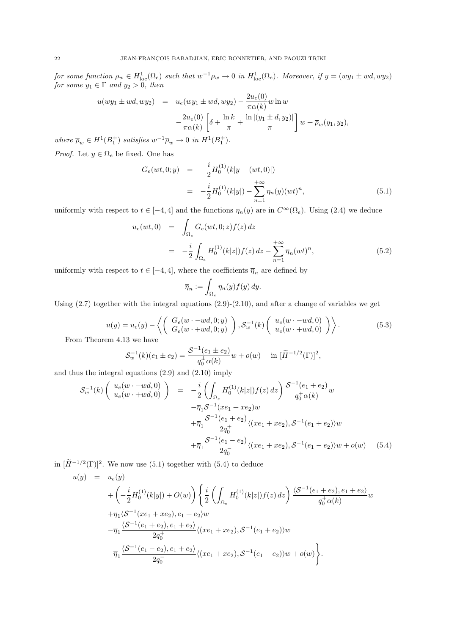for some function  $\rho_w \in H^1_{loc}(\Omega_e)$  such that  $w^{-1}\rho_w \to 0$  in  $H^1_{loc}(\Omega_e)$ . Moreover, if  $y = (wy_1 \pm wd, wy_2)$ for some  $y_1 \in \Gamma$  and  $y_2 > 0$ , then

$$
u(wy_1 \pm wd, wy_2) = u_e(wy_1 \pm wd, wy_2) - \frac{2u_e(0)}{\pi\alpha(k)}w \ln w
$$
  

$$
-\frac{2u_e(0)}{\pi\alpha(k)} \left[\delta + \frac{\ln k}{\pi} + \frac{\ln |(y_1 \pm d, y_2)|}{\pi}\right]w + \overline{\rho}_w(y_1, y_2),
$$

where  $\overline{\rho}_w \in H^1(B_1^+)$  satisfies  $w^{-1} \overline{\rho}_w \to 0$  in  $H^1(B_1^+)$ .

*Proof.* Let  $y \in \Omega_e$  be fixed. One has

$$
G_e(wt, 0; y) = -\frac{i}{2} H_0^{(1)}(k|y - (wt, 0)|)
$$
  

$$
= -\frac{i}{2} H_0^{(1)}(k|y|) - \sum_{n=1}^{+\infty} \eta_n(y) (wt)^n,
$$
 (5.1)

uniformly with respect to  $t \in [-4, 4]$  and the functions  $\eta_n(y)$  are in  $C^{\infty}(\Omega_e)$ . Using  $(2.4)$  we deduce

$$
u_e(wt,0) = \int_{\Omega_e} G_e(wt,0;z) f(z) dz
$$
  
= 
$$
-\frac{i}{2} \int_{\Omega_e} H_0^{(1)}(k|z|) f(z) dz - \sum_{n=1}^{+\infty} \overline{\eta}_n (wt)^n,
$$
 (5.2)

uniformly with respect to  $t \in [-4, 4],$  where the coefficients  $\overline{\eta}_n$  are defined by

$$
\overline{\eta}_n := \int_{\Omega_e} \eta_n(y) f(y) \, dy.
$$

Using  $(2.7)$  together with the integral equations  $(2.9)-(2.10)$ , and after a change of variables we get

$$
u(y) = u_e(y) - \left\langle \left( \begin{array}{c} G_e(w \cdot -wd, 0; y) \\ G_e(w \cdot + wd, 0; y) \end{array} \right), \mathcal{S}_w^{-1}(k) \left( \begin{array}{c} u_e(w \cdot -wd, 0) \\ u_e(w \cdot + wd, 0) \end{array} \right) \right\rangle.
$$
 (5.3)

From Theorem 4.13 we have

$$
S_w^{-1}(k)(e_1 \pm e_2) = \frac{S^{-1}(e_1 \pm e_2)}{q_0^{\pm} \alpha(k)} w + o(w) \quad \text{in } [\widetilde{H}^{-1/2}(\Gamma)]^2,
$$

and thus the integral equations (2.9) and (2.10) imply

$$
\mathcal{S}_{w}^{-1}(k) \left( \begin{array}{c} u_{e}(w - wd, 0) \\ u_{e}(w + wd, 0) \end{array} \right) = -\frac{i}{2} \left( \int_{\Omega_{e}} H_{0}^{(1)}(k|z|) f(z) dz \right) \frac{\mathcal{S}^{-1}(e_{1} + e_{2})}{q_{0}^{+} \alpha(k)} w \n- \overline{\eta}_{1} \mathcal{S}^{-1}(xe_{1} + xe_{2}) w \n+ \overline{\eta}_{1} \frac{\mathcal{S}^{-1}(e_{1} + e_{2})}{2q_{0}^{+}} \langle (xe_{1} + xe_{2}), \mathcal{S}^{-1}(e_{1} + e_{2}) \rangle w \n+ \overline{\eta}_{1} \frac{\mathcal{S}^{-1}(e_{1} - e_{2})}{2q_{0}^{-}} \langle (xe_{1} + xe_{2}), \mathcal{S}^{-1}(e_{1} - e_{2}) \rangle w + o(w) \tag{5.4}
$$

in  $[\tilde{H}^{-1/2}(\Gamma)]^2$ . We now use (5.1) together with (5.4) to deduce

$$
u(y) = u_e(y)
$$
  
+  $\left(-\frac{i}{2}H_0^{(1)}(k|y|) + O(w)\right) \left\{\frac{i}{2}\left(\int_{\Omega_e} H_0^{(1)}(k|z|)f(z) dz\right) \frac{\langle S^{-1}(e_1+e_2), e_1+e_2\rangle}{q_0^+\alpha(k)} w + \overline{\eta}_1 \langle S^{-1}(xe_1+xe_2), e_1+e_2\rangle w - \overline{\eta}_1 \frac{\langle S^{-1}(e_1+e_2), e_1+e_2\rangle}{2q_0^+}\langle (xe_1+xe_2), S^{-1}(e_1+e_2)\rangle w - \overline{\eta}_1 \frac{\langle S^{-1}(e_1-e_2), e_1+e_2\rangle}{2q_0^-}\langle (xe_1+xe_2), S^{-1}(e_1-e_2)\rangle w + o(w) \right\}.$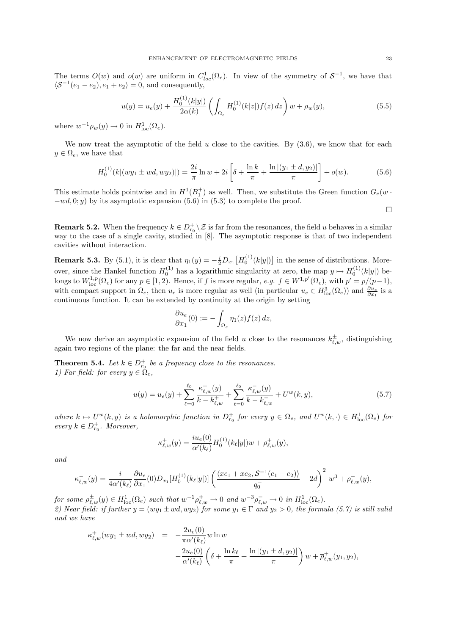The terms  $O(w)$  and  $o(w)$  are uniform in  $C^1_{loc}(\Omega_e)$ . In view of the symmetry of  $S^{-1}$ , we have that  $\langle S^{-1}(e_1 - e_2), e_1 + e_2 \rangle = 0$ , and consequently,

$$
u(y) = u_e(y) + \frac{H_0^{(1)}(k|y|)}{2\alpha(k)} \left( \int_{\Omega_e} H_0^{(1)}(k|z|) f(z) dz \right) w + \rho_w(y), \tag{5.5}
$$

where  $w^{-1}\rho_w(y) \to 0$  in  $H^1_{loc}(\Omega_e)$ .

We now treat the asymptotic of the field  $u$  close to the cavities. By  $(3.6)$ , we know that for each  $y \in \Omega_e$ , we have that

$$
H_0^{(1)}(k|(wy_1 \pm wd, wy_2)|) = \frac{2i}{\pi} \ln w + 2i \left[ \delta + \frac{\ln k}{\pi} + \frac{\ln |(y_1 \pm d, y_2)|}{\pi} \right] + o(w). \tag{5.6}
$$

This estimate holds pointwise and in  $H^1(B_1^+)$  as well. Then, we substitute the Green function  $G_e(w \cdot$  $-wd, 0; y$  by its asymptotic expansion (5.6) in (5.3) to complete the proof.

 $\Box$ 

**Remark 5.2.** When the frequency  $k \in D_{r_0}^+ \setminus \mathcal{Z}$  is far from the resonances, the field u behaves in a similar way to the case of a single cavity, studied in [8]. The asymptotic response is that of two independent cavities without interaction.

**Remark 5.3.** By (5.1), it is clear that  $\eta_1(y) = -\frac{i}{2}D_{x_1}\left[H_0^{(1)}(k|y|\right]$  in the sense of distributions. Moreover, since the Hankel function  $H_0^{(1)}$  has a logarithmic singularity at zero, the map  $y \mapsto H_0^{(1)}(k|y|)$  belongs to  $W^{1,p}_{\text{loc}}(\Omega_e)$  for any  $p \in [1,2)$ . Hence, if f is more regular,  $e.g.$   $f \in W^{1,p'}(\Omega_e)$ , with  $p' = p/(p-1)$ , with compact support in  $\Omega_e$ , then  $u_e$  is more regular as well (in particular  $u_e \in H^3_{loc}(\Omega_e)$ ) and  $\frac{\partial u_e}{\partial x_1}$  is a continuous function. It can be extended by continuity at the origin by setting

$$
\frac{\partial u_e}{\partial x_1}(0) := -\int_{\Omega_e} \eta_1(z) f(z) dz,
$$

We now derive an asymptotic expansion of the field u close to the resonances  $k_{\ell,w}^{\pm}$ , distinguishing again two regions of the plane: the far and the near fields.

**Theorem 5.4.** Let  $k \in D_{r_0}^+$  be a frequency close to the resonances. 1) Far field: for every  $y \in \Omega_e$ ,

$$
u(y) = u_e(y) + \sum_{\ell=0}^{\ell_0} \frac{\kappa_{\ell,w}^+(y)}{k - k_{\ell,w}^+} + \sum_{\ell=0}^{\ell_0} \frac{\kappa_{\ell,w}^-(y)}{k - k_{\ell,w}^-} + U^w(k, y), \tag{5.7}
$$

where  $k \mapsto U^w(k, y)$  is a holomorphic function in  $D_{r_0}^+$  for every  $y \in \Omega_e$ , and  $U^w(k, \cdot) \in H^1_{loc}(\Omega_e)$  for every  $k \in D_{r_0}^+$ . Moreover,

$$
\kappa_{\ell,w}^+(y) = \frac{i u_e(0)}{\alpha'(\kappa_{\ell})} H_0^{(1)}(k_{\ell}|y|) w + \rho_{\ell,w}^+(y),
$$

and

$$
\kappa_{\ell,w}^-(y) = \frac{i}{4\alpha' (k_{\ell})} \frac{\partial u_e}{\partial x_1}(0) D_{x_1} [H_0^{(1)}(k_{\ell}|y|)] \left( \frac{\langle xe_1 + xe_2, \mathcal{S}^{-1}(e_1 - e_2) \rangle}{q_0^-} - 2d \right)^2 w^3 + \rho_{\ell,w}^-(y),
$$

for some  $\rho_{\ell,w}^{\pm}(y) \in H^1_{loc}(\Omega_e)$  such that  $w^{-1} \rho_{\ell,w}^{\pm} \to 0$  and  $w^{-3} \rho_{\ell,w}^{-} \to 0$  in  $H^1_{loc}(\Omega_e)$ . 2) Near field: if further  $y = (wy_1 \pm wd, wy_2)$  for some  $y_1 \in \Gamma$  and  $y_2 > 0$ , the formula (5.7) is still valid and we have

$$
\kappa_{\ell,w}^+(wy_1 \pm wd, wy_2) = -\frac{2u_e(0)}{\pi \alpha'(k_{\ell})} w \ln w \n- \frac{2u_e(0)}{\alpha'(k_{\ell})} \left( \delta + \frac{\ln k_{\ell}}{\pi} + \frac{\ln |(y_1 \pm d, y_2)|}{\pi} \right) w + \overline{\rho}_{\ell,w}^+(y_1, y_2),
$$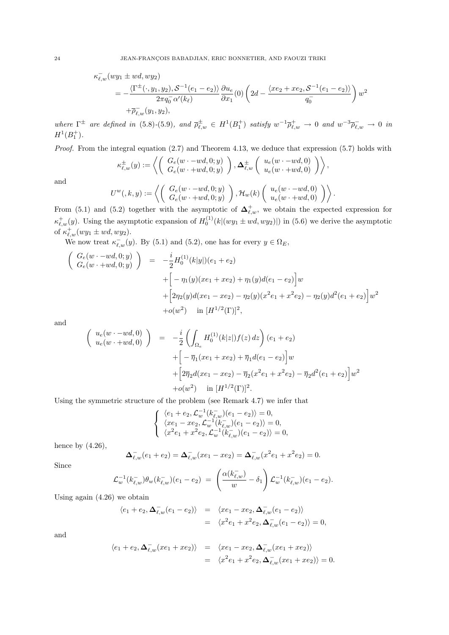$$
\kappa_{\ell,w}^-(wy_1 \pm wd, wy_2) \n= -\frac{\langle \Gamma^{\pm}(\cdot, y_1, y_2), \mathcal{S}^{-1}(e_1 - e_2) \rangle}{2\pi q_0^{\pm} \alpha'(k_{\ell})} \frac{\partial u_e}{\partial x_1}(0) \left(2d - \frac{\langle xe_2 + xe_2, \mathcal{S}^{-1}(e_1 - e_2) \rangle}{q_0^{\pm}}\right) w^2 \n+ \overline{\rho}_{\ell,w}^-(y_1, y_2),
$$

where  $\Gamma^{\pm}$  are defined in (5.8)-(5.9), and  $\overline{\rho}_{\ell,w}^{\pm} \in H^1(B_1^+)$  satisfy  $w^{-1}\overline{\rho}_{\ell,w}^{\pm} \to 0$  and  $w^{-3}\overline{\rho}_{\ell,w}^{\pm} \to 0$  in  $H^1(B_1^+).$ 

Proof. From the integral equation (2.7) and Theorem 4.13, we deduce that expression (5.7) holds with

$$
\kappa_{\ell,w}^{\pm}(y) := \left\langle \left( \begin{array}{c} G_e(w \cdot - wd, 0; y) \\ G_e(w \cdot + wd, 0; y) \end{array} \right), \Delta_{\ell,w}^{\pm} \left( \begin{array}{c} u_e(w \cdot - wd, 0) \\ u_e(w \cdot + wd, 0) \end{array} \right) \right\rangle,
$$
  

$$
U^w(, k, y) := \left\langle \left( \begin{array}{c} G_e(w \cdot -wd, 0; y) \\ G_e(w \cdot + wd, 0; y) \\ G_e(w \cdot + wd, 0; y) \end{array} \right), \mathcal{H}_w(k) \left( \begin{array}{c} u_e(w \cdot -wd, 0) \\ u_e(w \cdot + wd, 0) \\ u_e(w \cdot + wd, 0) \end{array} \right) \right\rangle.
$$

and

$$
U^w(,k,y) := \left\langle \left( \begin{array}{c} G_e(w \cdot -wd, 0; y) \\ G_e(w \cdot +wd, 0; y) \end{array} \right), \mathcal{H}_w(k) \left( \begin{array}{c} u_e(w \cdot -wd, 0) \\ u_e(w \cdot +wd, 0) \end{array} \right) \right\rangle.
$$
  
and (5.2) together with the asymptotic of  $\Delta_{f,w}^+$ , we obtain the expected ex-

From  $(5.1)$ `,w, we obtain the expected expression for  $\kappa_{\ell,w}^+(y)$ . Using the asymptotic expansion of  $H_0^{(1)}(k|(wy_1 \pm wd, wy_2)|)$  in (5.6) we derive the asymptotic of  $\kappa_{\ell,w}^+(wy_1 \pm wd, wy_2)$ .

We now treat  $\kappa_{\ell,w}^-(y)$ . By (5.1) and (5.2), one has for every  $y \in \Omega_E$ ,

$$
\begin{pmatrix}\nG_e(w \cdot -wd, 0; y) \\
G_e(w \cdot +wd, 0; y)\n\end{pmatrix} = -\frac{i}{2} H_0^{(1)}(k|y|)(e_1 + e_2) \n+ \left[ -\eta_1(y)(xe_1 + xe_2) + \eta_1(y)d(e_1 - e_2) \right] w \n+ \left[ 2\eta_2(y)d(xe_1 - xe_2) - \eta_2(y)(x^2e_1 + x^2e_2) - \eta_2(y)d^2(e_1 + e_2) \right] w^2 \n+ o(w^2) \quad \text{in } [H^{1/2}(\Gamma)]^2,
$$

and

$$
\begin{pmatrix}\nu_e(w - wd, 0) \\
u_e(w + wd, 0)\n\end{pmatrix} = -\frac{i}{2} \left( \int_{\Omega_e} H_0^{(1)}(k|z|) f(z) dz \right) (e_1 + e_2) \n+ \left[ -\overline{\eta}_1 (xe_1 + xe_2) + \overline{\eta}_1 d(e_1 - e_2) \right] w \n+ \left[ 2\overline{\eta}_2 d(xe_1 - xe_2) - \overline{\eta}_2 (x^2 e_1 + x^2 e_2) - \overline{\eta}_2 d^2 (e_1 + e_2) \right] w^2 \n+ o(w^2) \quad \text{in } [H^{1/2}(\Gamma)]^2.
$$

Using the symmetric structure of the problem (see Remark 4.7) we infer that

$$
\begin{cases} \langle e_1 + e_2, \mathcal{L}_w^{-1}(k_{\ell,w}^{-}) (e_1 - e_2) \rangle = 0, \\ \langle x e_1 - x e_2, \mathcal{L}_w^{-1}(k_{\ell,w}^{-}) (e_1 - e_2) \rangle = 0, \\ \langle x^2 e_1 + x^2 e_2, \mathcal{L}_w^{-1}(k_{\ell,w}^{-}) (e_1 - e_2) \rangle = 0, \end{cases}
$$

hence by  $(4.26)$ ,

$$
\Delta_{\ell,w}^-(e_1+e_2)=\Delta_{\ell,w}^-(xe_1-xe_2)=\Delta_{\ell,w}^-(x^2e_1+x^2e_2)=0.
$$

Since

$$
\mathcal{L}_{w}^{-1}(k_{\ell,w}^{-})\theta_{w}(k_{\ell,w}^{-})(e_1-e_2) = \left(\frac{\alpha(k_{\ell,w}^{-})}{w}-\delta_1\right)\mathcal{L}_{w}^{-1}(k_{\ell,w}^{-})(e_1-e_2).
$$

Using again (4.26) we obtain

$$
\langle e_1 + e_2, \Delta_{\ell,w}^- (e_1 - e_2) \rangle = \langle x e_1 - x e_2, \Delta_{\ell,w}^- (e_1 - e_2) \rangle
$$
  
=  $\langle x^2 e_1 + x^2 e_2, \Delta_{\ell,w}^- (e_1 - e_2) \rangle = 0,$ 

and

$$
\langle e_1 + e_2, \Delta_{\ell,w} (xe_1 + xe_2) \rangle = \langle xe_1 - xe_2, \Delta_{\ell,w} (xe_1 + xe_2) \rangle = \langle x^2 e_1 + x^2 e_2, \Delta_{\ell,w} (xe_1 + xe_2) \rangle = 0.
$$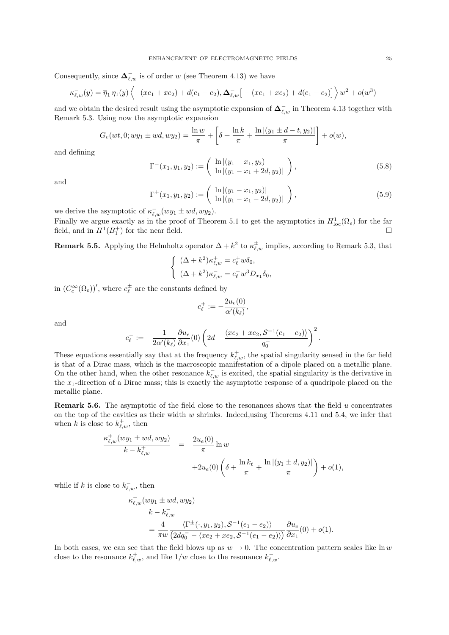Consequently, since  $\Delta_{\ell,w}^-$  is of order w (see Theorem 4.13) we have

$$
\kappa_{\ell,w}^-(y) = \overline{\eta}_1 \eta_1(y) \left\langle -(xe_1 + xe_2) + d(e_1 - e_2), \Delta_{\ell,w}^- \left[ -(xe_1 + xe_2) + d(e_1 - e_2) \right] \right\rangle w^2 + o(w^3)
$$

and we obtain the desired result using the asymptotic expansion of  $\Delta_{\ell,w}^-$  in Theorem 4.13 together with Remark 5.3. Using now the asymptotic expansion

$$
G_e(wt, 0; wy_1 \pm wd, wy_2) = \frac{\ln w}{\pi} + \left[\delta + \frac{\ln k}{\pi} + \frac{\ln |(y_1 \pm d - t, y_2)|}{\pi}\right] + o(w),
$$

and defining

$$
\Gamma^{-}(x_1, y_1, y_2) := \begin{pmatrix} \ln |(y_1 - x_1, y_2)| \\ \ln |(y_1 - x_1 + 2d, y_2)| \end{pmatrix}, \qquad (5.8)
$$

and

$$
\Gamma^+(x_1, y_1, y_2) := \left( \begin{array}{c} \ln |(y_1 - x_1, y_2)| \\ \ln |(y_1 - x_1 - 2d, y_2)| \end{array} \right), \tag{5.9}
$$

we derive the asymptotic of  $\kappa_{\ell,w}^-(wy_1 \pm wd, wy_2)$ .

Finally we argue exactly as in the proof of Theorem 5.1 to get the asymptotics in  $H_{\text{loc}}^1(\Omega_e)$  for the far field, and in  $H^1(B_1^+)$  for the near field.

**Remark 5.5.** Applying the Helmholtz operator  $\Delta + k^2$  to  $\kappa_{\ell,w}^{\pm}$  implies, according to Remark 5.3, that

$$
\begin{cases} (\Delta + k^2) \kappa_{\ell,w}^+ = c_\ell^+ w \delta_0, \\ (\Delta + k^2) \kappa_{\ell,w}^- = c_\ell^- w^3 D_{x_1} \delta_0, \end{cases}
$$

in  $(C_c^{\infty}(\Omega_e))'$ , where  $c_{\ell}^{\pm}$  are the constants defined by

$$
c_{\ell}^{+} := -\frac{2u_{\epsilon}(0)}{\alpha'(k_{\ell})},
$$

and

$$
c_\ell^-:=-\frac{1}{2\alpha'(k_\ell)}\frac{\partial u_e}{\partial x_1}(0)\left(2d-\frac{\langle xe_2+xe_2,\mathcal{S}^{-1}(e_1-e_2)\rangle}{q_0^-}\right)^2.
$$

These equations essentially say that at the frequency  $k_{\ell,w}^+$ , the spatial singularity sensed in the far field is that of a Dirac mass, which is the macroscopic manifestation of a dipole placed on a metallic plane. On the other hand, when the other resonance  $k_{\ell,w}^-$  is excited, the spatial singularity is the derivative in the  $x_1$ -direction of a Dirac mass; this is exactly the asymptotic response of a quadripole placed on the metallic plane.

**Remark 5.6.** The asymptotic of the field close to the resonances shows that the field  $u$  concentrates on the top of the cavities as their width  $w$  shrinks. Indeed, using Theorems 4.11 and 5.4, we infer that when k is close to  $k_{\ell,w}^+$ , then

$$
\frac{\kappa_{\ell,w}^+(wy_1 \pm wd, wy_2)}{k - k_{\ell,w}^+} = \frac{2u_e(0)}{\pi} \ln w + 2u_e(0) \left( \delta + \frac{\ln k_\ell}{\pi} + \frac{\ln |(y_1 \pm d, y_2)|}{\pi} \right) + o(1),
$$

while if k is close to  $k_{\ell,w}^-$ , then

$$
\frac{\kappa_{\ell,w}^-(wy_1 \pm wd, wy_2)}{k - k_{\ell,w}^-} = \frac{4}{\pi w} \frac{\langle \Gamma^{\pm}(\cdot, y_1, y_2), \mathcal{S}^{-1}(e_1 - e_2) \rangle}{\langle 2dq_0^- - \langle xe_2 + xe_2, \mathcal{S}^{-1}(e_1 - e_2) \rangle} \frac{\partial u_e}{\partial x_1}(0) + o(1).
$$

In both cases, we can see that the field blows up as  $w \to 0$ . The concentration pattern scales like ln w close to the resonance  $k_{\ell,w}^+$ , and like  $1/w$  close to the resonance  $k_{\ell,w}^-$ .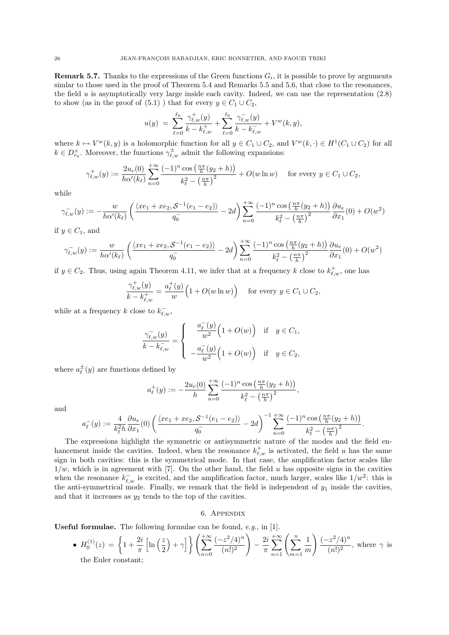**Remark 5.7.** Thanks to the expressions of the Green functions  $G_i$ , it is possible to prove by arguments simlar to those used in the proof of Theorem 5.4 and Remarks 5.5 and 5.6, that close to the resonances, the field  $u$  is asymptotically very large inside each cavity. Indeed, we can use the representation  $(2.8)$ to show (as in the proof of (5.1)) that for every  $y \in C_1 \cup C_2$ ,

$$
u(y) = \sum_{\ell=0}^{\ell_0} \frac{\gamma_{\ell,w}^+(y)}{k - k_{\ell,w}^+} + \sum_{\ell=0}^{\ell_0} \frac{\gamma_{\ell,w}^-(y)}{k - k_{\ell,w}^-} + V^w(k, y),
$$

where  $k \mapsto V^w(k, y)$  is a holomorphic function for all  $y \in C_1 \cup C_2$ , and  $V^w(k, \cdot) \in H^1(C_1 \cup C_2)$  for all  $k \in D_{r_0}^+$ . Moreover, the functions  $\gamma_{\ell,w}^{\pm}$  admit the following expansions:

$$
\gamma_{\ell,w}^+(y) := \frac{2u_e(0)}{h\alpha'(k_{\ell})} \sum_{n=0}^{+\infty} \frac{(-1)^n \cos\left(\frac{n\pi}{h}(y_2 + h)\right)}{k_{\ell}^2 - \left(\frac{n\pi}{h}\right)^2} + O(w \ln w) \quad \text{ for every } y \in C_1 \cup C_2,
$$

while

$$
\gamma_{\ell,w}^-(y) := -\frac{w}{h\alpha'(k_{\ell})} \left( \frac{\langle xe_1 + xe_2, \mathcal{S}^{-1}(e_1 - e_2) \rangle}{q_0} - 2d \right) \sum_{n=0}^{+\infty} \frac{(-1)^n \cos\left(\frac{n\pi}{h}(y_2 + h)\right)}{k_{\ell}^2 - \left(\frac{n\pi}{h}\right)^2} \frac{\partial u_{e}}{\partial x_1}(0) + O(w^2)
$$

if  $y \in C_1$ , and

$$
\gamma_{\ell,w}^-(y) := \frac{w}{h\alpha'(k_{\ell})} \left( \frac{\langle xe_1 + xe_2, \mathcal{S}^{-1}(e_1 - e_2) \rangle}{q_0^-} - 2d \right) \sum_{n=0}^{+\infty} \frac{(-1)^n \cos\left(\frac{n\pi}{h}(y_2 + h)\right)}{k_{\ell}^2 - \left(\frac{n\pi}{h}\right)^2} \frac{\partial u_e}{\partial x_1}(0) + O(w^2)
$$

if  $y \in C_2$ . Thus, using again Theorem 4.11, we infer that at a frequency k close to  $k_{\ell,w}^+$ , one has

$$
\frac{\gamma_{\ell,w}^+(y)}{k - k_{\ell,w}^+} = \frac{a_\ell^+(y)}{w} \Big( 1 + O(w \ln w) \Big) \quad \text{for every } y \in C_1 \cup C_2,
$$

while at a frequency k close to  $k_{\ell,w}^-$ ,

$$
\frac{\gamma_{\ell,w}^-(y)}{k - k_{\ell,w}^-} = \begin{cases}\n\frac{a_\ell^-(y)}{w^2} \Big( 1 + O(w) \Big) & \text{if} \quad y \in C_1, \\
-\frac{a_\ell^-(y)}{w^2} \Big( 1 + O(w) \Big) & \text{if} \quad y \in C_2,\n\end{cases}
$$

where  $a_{\ell}^{\pm}(y)$  are functions defined by

$$
a_{\ell}^+(y) := -\frac{2u_e(0)}{h} \sum_{n=0}^{+\infty} \frac{(-1)^n \cos\left(\frac{n\pi}{h}(y_2 + h)\right)}{k_{\ell}^2 - \left(\frac{n\pi}{h}\right)^2},
$$

and

$$
a_{\ell}^-(y) := \frac{4}{k_{\ell}^2 h} \frac{\partial u_e}{\partial x_1}(0) \left( \frac{\langle xe_1 + xe_2, \mathcal{S}^{-1}(e_1 - e_2) \rangle}{q_0^-} - 2d \right)^{-1} \sum_{n=0}^{+\infty} \frac{(-1)^n \cos\left(\frac{n\pi}{h}(y_2 + h)\right)}{k_{\ell}^2 - \left(\frac{n\pi}{h}\right)^2}.
$$

The expressions highlight the symmetric or antisymmetric nature of the modes and the field enhancement inside the cavities. Indeed, when the resonance  $k_{\ell,w}^+$  is activated, the field u has the same sign in both cavities: this is the symmetrical mode. In that case, the amplification factor scales like  $1/w$ , which is in agreement with [7]. On the other hand, the field u has opposite signs in the cavities when the resonance  $k_{\ell,w}^-$  is excited, and the amplification factor, much larger, scales like  $1/w^2$ : this is the anti-symmetrical mode. Finally, we remark that the field is independent of  $y_1$  inside the cavities, and that it increases as  $y_2$  tends to the top of the cavities.

### 6. Appendix

Useful formulae. The following formulae can be found, e.g., in [1].

• 
$$
H_0^{(1)}(z) = \left\{ 1 + \frac{2i}{\pi} \left[ \ln \left( \frac{z}{2} \right) + \gamma \right] \right\} \left( \sum_{n=0}^{+\infty} \frac{(-z^2/4)^n}{(n!)^2} \right) - \frac{2i}{\pi} \sum_{n=1}^{+\infty} \left( \sum_{m=1}^n \frac{1}{m} \right) \frac{(-z^2/4)^n}{(n!)^2}
$$
, where  $\gamma$  is the Euler constant;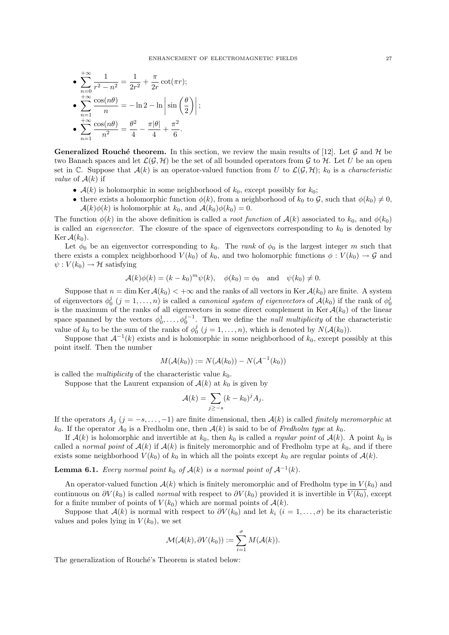• 
$$
\sum_{n=0}^{+\infty} \frac{1}{r^2 - n^2} = \frac{1}{2r^2} + \frac{\pi}{2r} \cot(\pi r);
$$
  
\n• 
$$
\sum_{n=1}^{+\infty} \frac{\cos(n\theta)}{n} = -\ln 2 - \ln \left| \sin \left( \frac{\theta}{2} \right) \right|;
$$
  
\n• 
$$
\sum_{n=1}^{+\infty} \frac{\cos(n\theta)}{n^2} = \frac{\theta^2}{4} - \frac{\pi |\theta|}{4} + \frac{\pi^2}{6}.
$$

**Generalized Rouché theorem.** In this section, we review the main results of [12]. Let G and H be two Banach spaces and let  $\mathcal{L}(\mathcal{G}, \mathcal{H})$  be the set of all bounded operators from  $\mathcal{G}$  to  $\mathcal{H}$ . Let U be an open set in C. Suppose that  $\mathcal{A}(k)$  is an operator-valued function from U to  $\mathcal{L}(\mathcal{G},\mathcal{H})$ ;  $k_0$  is a *characteristic value* of  $A(k)$  if

- $A(k)$  is holomorphic in some neighborhood of  $k_0$ , except possibly for  $k_0$ ;
- there exists a holomorphic function  $\phi(k)$ , from a neighborhood of  $k_0$  to  $\mathcal{G}$ , such that  $\phi(k_0) \neq 0$ ,  $\mathcal{A}(k)\phi(k)$  is holomorphic at  $k_0$ , and  $\mathcal{A}(k_0)\phi(k_0) = 0$ .

The function  $\phi(k)$  in the above definition is called a *root function* of  $\mathcal{A}(k)$  associated to  $k_0$ , and  $\phi(k_0)$ is called an *eigenvector*. The closure of the space of eigenvectors corresponding to  $k_0$  is denoted by Ker  $\mathcal{A}(k_0)$ .

Let  $\phi_0$  be an eigenvector corresponding to  $k_0$ . The rank of  $\phi_0$  is the largest integer m such that there exists a complex neighborhood  $V(k_0)$  of  $k_0$ , and two holomorphic functions  $\phi: V(k_0) \to \mathcal{G}$  and  $\psi: V(k_0) \to \mathcal{H}$  satisfying

$$
\mathcal{A}(k)\phi(k) = (k - k_0)^m \psi(k), \quad \phi(k_0) = \phi_0 \quad \text{and} \quad \psi(k_0) \neq 0.
$$

Suppose that  $n = \dim \text{Ker } \mathcal{A}(k_0) < +\infty$  and the ranks of all vectors in Ker  $\mathcal{A}(k_0)$  are finite. A system of eigenvectors  $\phi_0^j$   $(j = 1, ..., n)$  is called a *canonical system of eigenvectors* of  $\mathcal{A}(k_0)$  if the rank of  $\phi_0^j$ is the maximum of the ranks of all eigenvectors in some direct complement in Ker  $\mathcal{A}(k_0)$  of the linear space spanned by the vectors  $\phi_0^1, \ldots, \phi_0^{j-1}$ . Then we define the *null multiplicity* of the characteristic value of  $k_0$  to be the sum of the ranks of  $\phi_0^j$   $(j = 1, ..., n)$ , which is denoted by  $N(\mathcal{A}(k_0))$ .

Suppose that  $\mathcal{A}^{-1}(k)$  exists and is holomorphic in some neighborhood of  $k_0$ , except possibly at this point itself. Then the number

$$
M(\mathcal{A}(k_0)) := N(\mathcal{A}(k_0)) - N(\mathcal{A}^{-1}(k_0))
$$

is called the *multiplicity* of the characteristic value  $k_0$ .

Suppose that the Laurent expansion of  $A(k)$  at  $k_0$  is given by

$$
\mathcal{A}(k) = \sum_{j \ge -s} (k - k_0)^j A_j.
$$

If the operators  $A_j$  (j =  $-s$ , ..., -1) are finite dimensional, then  $\mathcal{A}(k)$  is called finitely meromorphic at  $k_0$ . If the operator  $A_0$  is a Fredholm one, then  $\mathcal{A}(k)$  is said to be of Fredholm type at  $k_0$ .

If  $\mathcal{A}(k)$  is holomorphic and invertible at  $k_0$ , then  $k_0$  is called a *regular point* of  $\mathcal{A}(k)$ . A point  $k_0$  is called a normal point of  $A(k)$  if  $A(k)$  is finitely meromorphic and of Fredholm type at  $k_0$ , and if there exists some neighborhood  $V(k_0)$  of  $k_0$  in which all the points except  $k_0$  are regular points of  $\mathcal{A}(k)$ .

**Lemma 6.1.** Every normal point  $k_0$  of  $\mathcal{A}(k)$  is a normal point of  $\mathcal{A}^{-1}(k)$ .

An operator-valued function  $\mathcal{A}(k)$  which is finitely meromorphic and of Fredholm type in  $V(k_0)$  and continuous on  $\partial V(k_0)$  is called *normal* with respect to  $\partial V(k_0)$  provided it is invertible in  $\overline{V(k_0)}$ , except for a finite number of points of  $V(k_0)$  which are normal points of  $\mathcal{A}(k)$ .

Suppose that  $\mathcal{A}(k)$  is normal with respect to  $\partial V(k_0)$  and let  $k_i$   $(i = 1, \ldots, \sigma)$  be its characteristic values and poles lying in  $V(k_0)$ , we set

$$
\mathcal{M}(\mathcal{A}(k), \partial V(k_0)) := \sum_{i=1}^{\sigma} M(\mathcal{A}(k)).
$$

The generalization of Rouché's Theorem is stated below: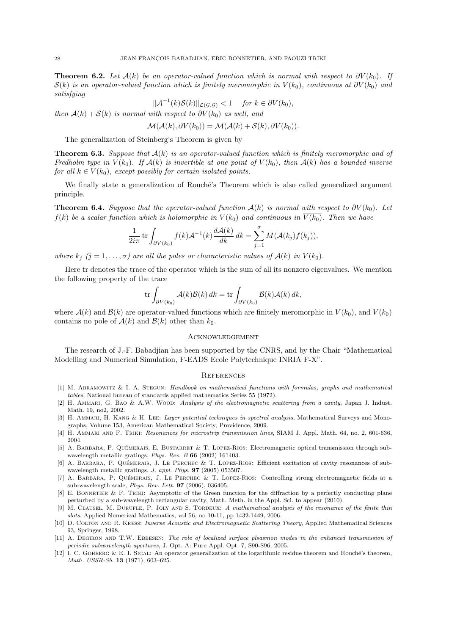**Theorem 6.2.** Let  $\mathcal{A}(k)$  be an operator-valued function which is normal with respect to  $\partial V(k_0)$ . If  $S(k)$  is an operator-valued function which is finitely meromorphic in  $V(k_0)$ , continuous at  $\partial V(k_0)$  and satisfying

$$
\|\mathcal{A}^{-1}(k)\mathcal{S}(k)\|_{\mathcal{L}(\mathcal{G},\mathcal{G})} < 1 \quad \text{for } k \in \partial V(k_0),
$$

then  $A(k) + S(k)$  is normal with respect to  $\partial V(k_0)$  as well, and

$$
\mathcal{M}(\mathcal{A}(k), \partial V(k_0)) = \mathcal{M}(\mathcal{A}(k) + \mathcal{S}(k), \partial V(k_0)).
$$

The generalization of Steinberg's Theorem is given by

**Theorem 6.3.** Suppose that  $A(k)$  is an operator-valued function which is finitely meromorphic and of Fredholm type in  $V(k_0)$ . If  $\mathcal{A}(k)$  is invertible at one point of  $V(k_0)$ , then  $\mathcal{A}(k)$  has a bounded inverse for all  $k \in V(k_0)$ , except possibly for certain isolated points.

We finally state a generalization of Rouché's Theorem which is also called generalized argument principle.

**Theorem 6.4.** Suppose that the operator-valued function  $\mathcal{A}(k)$  is normal with respect to  $\partial V(k_0)$ . Let  $f(k)$  be a scalar function which is holomorphic in  $V(k_0)$  and continuous in  $V(k_0)$ . Then we have

$$
\frac{1}{2i\pi} \operatorname{tr} \int_{\partial V(k_0)} f(k) \mathcal{A}^{-1}(k) \frac{d\mathcal{A}(k)}{dk} dk = \sum_{j=1}^{\sigma} M(\mathcal{A}(k_j) f(k_j)),
$$

where  $k_j$   $(j = 1, ..., \sigma)$  are all the poles or characteristic values of  $\mathcal{A}(k)$  in  $V(k_0)$ .

Here tr denotes the trace of the operator which is the sum of all its nonzero eigenvalues. We mention the following property of the trace

$$
\operatorname{tr} \int_{\partial V(k_0)} \mathcal{A}(k) \mathcal{B}(k) \, dk = \operatorname{tr} \int_{\partial V(k_0)} \mathcal{B}(k) \mathcal{A}(k) \, dk,
$$

where  $\mathcal{A}(k)$  and  $\mathcal{B}(k)$  are operator-valued functions which are finitely meromorphic in  $V(k_0)$ , and  $V(k_0)$ contains no pole of  $\mathcal{A}(k)$  and  $\mathcal{B}(k)$  other than  $k_0$ .

### Acknowledgement

The research of J.-F. Babadjian has been supported by the CNRS, and by the Chair "Mathematical Modelling and Numerical Simulation, F-EADS Ecole Polytechnique INRIA F-X".

### **REFERENCES**

- [1] M. Abramowitz & I. A. Stegun: Handbook on mathematical functions with formulas, graphs and mathematical tables, National bureau of standards applied mathematics Series 55 (1972).
- [2] H. AMMARI, G. BAO & A.W. WOOD: Analysis of the electromagnetic scattering from a cavity, Japan J. Indust. Math. 19, no2, 2002.
- [3] H. AMMARI, H. KANG & H. LEE: Layer potential techniques in spectral analysis, Mathematical Surveys and Monographs, Volume 153, American Mathematical Society, Providence, 2009.
- [4] H. Ammari and F. Triki: Resonances for microstrip transmission lines, SIAM J. Appl. Math. 64, no. 2, 601-636, 2004.
- [5] A. BARBARA, P. QUÉMERAIS, E. BUSTARRET & T. LOPEZ-RIOS: Electromagnetic optical transmission through subwavelength metallic gratings, Phys. Rev. B 66 (2002) 161403.
- [6] A. BARBARA, P. QUÉMERAIS, J. LE PERCHEC & T. LOPEZ-RIOS: Efficient excitation of cavity resonances of subwavelength metallic gratings, J. appl. Phys. 97 (2005) 053507.
- [7] A. BARBARA, P. QUÉMERAIS, J. LE PERCHEC & T. LOPEZ-RIOS: Controlling strong electromagnetic fields at a sub-wavelength scale, Phys. Rev. Lett. 97 (2006), 036405.
- [8] E. BONNETIER & F. TRIKI: Asymptotic of the Green function for the diffraction by a perfectly conducting plane perturbed by a sub-wavelength rectangular cavity, Math. Meth. in the Appl. Sci. to appear (2010).
- [9] M. CLAUSEL, M. DURUFLE, P. JOLY AND S. TORDEUX: A mathematical analysis of the resonance of the finite thin slots. Applied Numerical Mathematics, vol 56, no 10-11, pp 1432-1449, 2006.
- [10] D. Colton and R. Kress: Inverse Acoustic and Electromagnetic Scattering Theory, Applied Mathematical Sciences 93, Springer, 1998.
- [11] A. DEGIRON AND T.W. EBBESEN: The role of localized surface plsasmon modes in the enhanced transmission of periodic subwavelength apertures, J. Opt. A: Pure Appl. Opt. 7, S90-S96, 2005.
- [12] I. C. GOHBERG & E. I. SIGAL: An operator generalization of the logarithmic residue theorem and Rouché's theorem, Math. USSR-Sb. 13 (1971), 603–625.